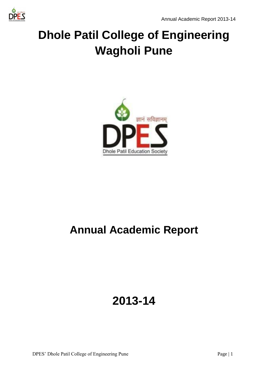

# **Dhole Patil College of Engineering Wagholi Pune**



## **Annual Academic Report**

## **2013-14**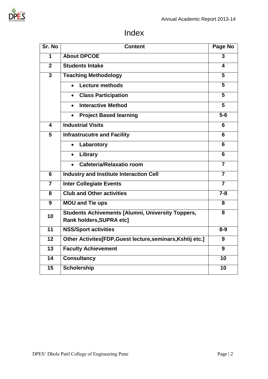

### Index

| Sr. No                  | <b>Content</b>                                                                       | Page No                 |
|-------------------------|--------------------------------------------------------------------------------------|-------------------------|
| 1                       | <b>About DPCOE</b>                                                                   | 3                       |
| $\overline{2}$          | <b>Students Intake</b>                                                               | 4                       |
| $\overline{\mathbf{3}}$ | <b>Teaching Methodology</b>                                                          | $\overline{5}$          |
|                         | <b>Lecture methods</b><br>$\bullet$                                                  | 5                       |
|                         | <b>Class Participation</b><br>$\bullet$                                              | 5                       |
|                         | <b>Interactive Method</b><br>$\bullet$                                               | $\overline{5}$          |
|                         | <b>Project Based learning</b>                                                        | $5-6$                   |
| 4                       | <b>Industrial Visits</b>                                                             | 6                       |
| $\overline{5}$          | <b>Infrastrucutre and Facility</b>                                                   | 6                       |
|                         | Labarotory<br>$\bullet$                                                              | 6                       |
|                         | Library<br>$\bullet$                                                                 | 6                       |
|                         | Cafeteria/Relaxatio room<br>$\bullet$                                                | $\overline{\mathbf{7}}$ |
| 6                       | <b>Industry and Institute Interaction Cell</b>                                       | $\overline{7}$          |
| $\overline{7}$          | <b>Inter Collegiate Events</b>                                                       | $\overline{7}$          |
| 8                       | <b>Club and Other activities</b>                                                     | $7 - 8$                 |
| 9                       | <b>MOU and Tie ups</b>                                                               | 8                       |
| 10                      | <b>Students Achivements [Alumni, University Toppers,</b><br>Rank holders, SUPRA etc] | 8                       |
| 11                      | <b>NSS/Sport activities</b>                                                          | $8-9$                   |
| 12                      | Other Activites[FDP, Guest lecture, seminars, Kshtij etc.]                           | 9                       |
| 13                      | <b>Faculty Achievement</b>                                                           | 9                       |
| 14                      | <b>Consultancy</b>                                                                   | 10                      |
| 15                      | <b>Scholership</b>                                                                   | 10                      |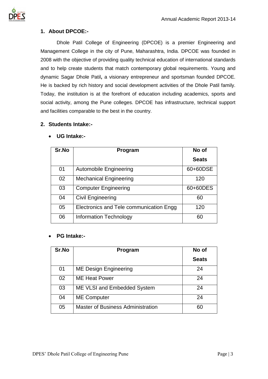

### **1. About DPCOE:-**

Dhole Patil College of Engineering (DPCOE) is a premier Engineering and Management College in the city of Pune, Maharashtra, India. DPCOE was founded in 2008 with the objective of providing quality technical education of international standards and to help create students that match contemporary global requirements. Young and dynamic Sagar Dhole Patil**,** a visionary entrepreneur and sportsman founded DPCOE. He is backed by rich history and social development activities of the Dhole Patil family. Today, the institution is at the forefront of education including academics, sports and social activity, among the Pune colleges. DPCOE has infrastructure, technical support and facilities comparable to the best in the country.

### **2. Students Intake:-**

| Sr.No | Program                                 | No of        |
|-------|-----------------------------------------|--------------|
|       |                                         | <b>Seats</b> |
| 01    | <b>Automobile Engineering</b>           | 60+60DSE     |
| 02    | <b>Mechanical Engineering</b>           | 120          |
| 03    | <b>Computer Engineering</b>             | 60+60DES     |
| 04    | <b>Civil Engineering</b>                | 60           |
| 05    | Electronics and Tele communication Engg | 120          |
| 06    | Information Technology                  | 60           |

### • **UG Intake:-**

### • **PG Intake:-**

| Sr.No | Program                                  | No of        |
|-------|------------------------------------------|--------------|
|       |                                          | <b>Seats</b> |
| 01    | <b>ME Design Engineering</b>             | 24           |
| 02    | <b>ME Heat Power</b>                     | 24           |
| 03    | ME VLSI and Embedded System              | 24           |
| 04    | <b>ME Computer</b>                       | 24           |
| 05    | <b>Master of Business Administration</b> | 60           |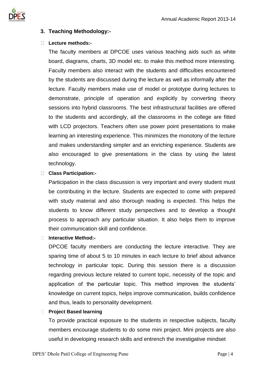

### **3. Teaching Methodology:-**

### **Lecture methods:-**

The faculty members at DPCOE uses various teaching aids such as white board, diagrams, charts, 3D model etc. to make this method more interesting. Faculty members also interact with the students and difficulties encountered by the students are discussed during the lecture as well as informally after the lecture. Faculty members make use of model or prototype during lectures to demonstrate, principle of operation and explicitly by converting theory sessions into hybrid classrooms. The best infrastructural facilities are offered to the students and accordingly, all the classrooms in the college are fitted with LCD projectors. Teachers often use power point presentations to make learning an interesting experience. This minimizes the monotony of the lecture and makes understanding simpler and an enriching experience. Students are also encouraged to give presentations in the class by using the latest technology.

### **Class Participation:-**

Participation in the class discussion is very important and every student must be contributing in the lecture. Students are expected to come with prepared with study material and also thorough reading is expected. This helps the students to know different study perspectives and to develop a thought process to approach any particular situation. It also helps them to improve their communication skill and confidence.

### **Interactive Method:-**

DPCOE faculty members are conducting the lecture interactive. They are sparing time of about 5 to 10 minutes in each lecture to brief about advance technology in particular topic. During this session there is a discussion regarding previous lecture related to current topic, necessity of the topic and application of the particular topic. This method improves the students' knowledge on current topics, helps improve communication, builds confidence and thus, leads to personality development.

### **Project Based learning**

To provide practical exposure to the students in respective subjects, faculty members encourage students to do some mini project. Mini projects are also useful in developing research skills and entrench the investigative mindset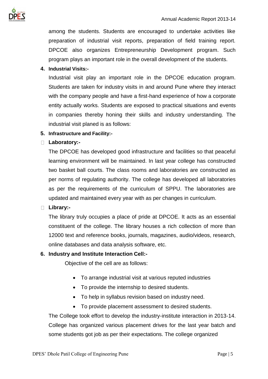

among the students. Students are encouraged to undertake activities like preparation of industrial visit reports, preparation of field training report. DPCOE also organizes Entrepreneurship Development program. Such program plays an important role in the overall development of the students.

### **4. Industrial Visits:-**

Industrial visit play an important role in the DPCOE education program. Students are taken for industry visits in and around Pune where they interact with the company people and have a first-hand experience of how a corporate entity actually works. Students are exposed to practical situations and events in companies thereby honing their skills and industry understanding. The industrial visit planed is as follows:

### **5. Infrastructure and Facility:-**

### **Laboratory:-**

The DPCOE has developed good infrastructure and facilities so that peaceful learning environment will be maintained. In last year college has constructed two basket ball courts. The class rooms and laboratories are constructed as per norms of regulating authority. The college has developed all laboratories as per the requirements of the curriculum of SPPU. The laboratories are updated and maintained every year with as per changes in curriculum.

### **Library:-**

The library truly occupies a place of pride at DPCOE. It acts as an essential constituent of the college. The library houses a rich collection of more than 12000 text and reference books, journals, magazines, audio/videos, research, online databases and data analysis software, etc.

### **6. Industry and Institute Interaction Cell:-**

Objective of the cell are as follows:

- To arrange industrial visit at various reputed industries
- To provide the internship to desired students.
- To help in syllabus revision based on industry need.
- To provide placement assessment to desired students.

The College took effort to develop the industry-institute interaction in 2013-14. College has organized various placement drives for the last year batch and some students got job as per their expectations. The college organized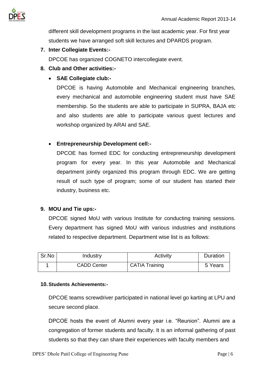

different skill development programs in the last academic year. For first year students we have arranged soft skill lectures and DPARDS program.

**7. Inter Collegiate Events:-**

DPCOE has organized COGNETO intercollegiate event.

- **8. Club and Other activities:-**
	- **SAE Collegiate club:-**

DPCOE is having Automobile and Mechanical engineering branches, every mechanical and automobile engineering student must have SAE membership. So the students are able to participate in SUPRA, BAJA etc and also students are able to participate various guest lectures and workshop organized by ARAI and SAE.

### • **Entrepreneurship Development cell:-**

DPCOE has formed EDC for conducting entrepreneurship development program for every year. In this year Automobile and Mechanical department jointly organized this program through EDC. We are getting result of such type of program; some of our student has started their industry, business etc.

### **9. MOU and Tie ups:-**

DPCOE signed MoU with various Institute for conducting training sessions. Every department has signed MoU with various industries and institutions related to respective department. Department wise list is as follows:

| Sr.No | Industry           | Activity              | Duration |
|-------|--------------------|-----------------------|----------|
|       | <b>CADD Center</b> | <b>CATIA Training</b> | 5 Years  |

### **10.Students Achievements:-**

DPCOE teams screwdriver participated in national level go karting at LPU and secure second place.

DPCOE hosts the event of Alumni every year i.e. "Reunion". Alumni are a congregation of former students and faculty. It is an informal gathering of past students so that they can share their experiences with faculty members and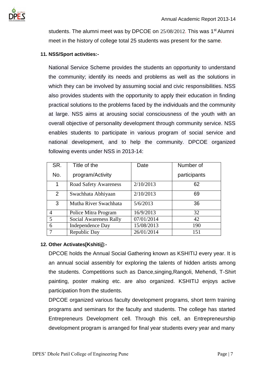

students. The alumni meet was by DPCOE on 25/08/2012. This was 1<sup>st</sup> Alumni meet in the history of college total 25 students was present for the same.

### **11. NSS/Sport activities:-**

National Service Scheme provides the students an opportunity to understand the community; identify its needs and problems as well as the solutions in which they can be involved by assuming social and civic responsibilities. NSS also provides students with the opportunity to apply their education in finding practical solutions to the problems faced by the individuals and the community at large. NSS aims at arousing social consciousness of the youth with an overall objective of personality development through community service. NSS enables students to participate in various program of social service and national development, and to help the community. DPCOE organized following events under NSS in 2013-14:

| SR.            | Title of the                 | Date       | Number of    |
|----------------|------------------------------|------------|--------------|
| No.            | program/Activity             |            | participants |
| 1              | <b>Road Safety Awareness</b> | 2/10/2013  | 62           |
| 2              | Swachhata Abhiyaan           | 2/10/2013  | 69           |
| 3              | Mutha River Swachhata        | 5/6/2013   | 36           |
| $\overline{4}$ | Police Mitra Program         | 16/9/2013  | 32           |
| 5              | Social Awareness Rally       | 07/01/2014 | 42           |
| 6              | <b>Independence Day</b>      | 15/08/2013 | 190          |
| 7              | Republic Day                 | 26/01/2014 | 151          |

### **12. Other Activates[Kshitij]:-**

DPCOE holds the Annual Social Gathering known as KSHITIJ every year. It is an annual social assembly for exploring the talents of hidden artists among the students. Competitions such as Dance,singing,Rangoli, Mehendi, T-Shirt painting, poster making etc. are also organized. KSHITIJ enjoys active participation from the students.

DPCOE organized various faculty development programs, short term training programs and seminars for the faculty and students. The college has started Entrepreneurs Development cell. Through this cell, an Entrepreneurship development program is arranged for final year students every year and many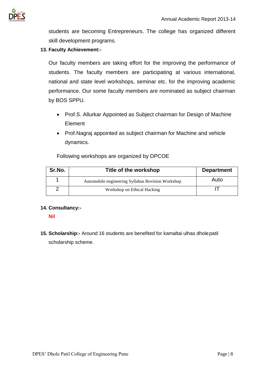

students are becoming Entrepreneurs. The college has organized different skill development programs.

### **13. Faculty Achievement:-**

Our faculty members are taking effort for the improving the performance of students. The faculty members are participating at various international, national and state level workshops, seminar etc. for the improving academic performance. Our some faculty members are nominated as subject chairman by BOS SPPU.

- Prof.S. Allurkar Appointed as Subject chairman for Design of Machine Element
- Prof.Nagraj appointed as subject chairman for Machine and vehicle dynamics.

Following workshops are organized by DPCOE

| Sr.No. | Title of the workshop                             | <b>Department</b> |
|--------|---------------------------------------------------|-------------------|
|        | Automobile engineering Syllabus Revision Workshop | Auto              |
|        | Workshop on Ethical Hacking                       |                   |

### **14. Consultancy:-**

**Nil**

**15. Scholarship:-** Around 16 students are benefited for kamaltai ulhas dholepatil scholarship scheme.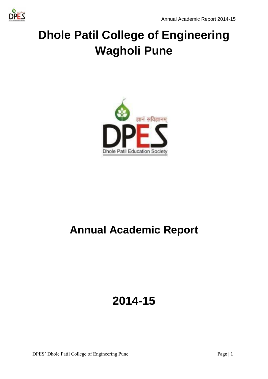

# **Dhole Patil College of Engineering Wagholi Pune**



## **Annual Academic Report**

## **2014-15**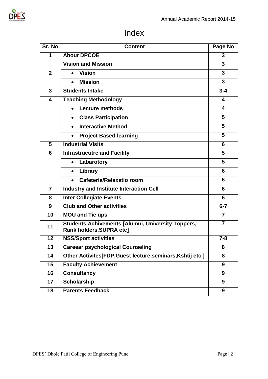### Index

| Sr. No         | <b>Content</b>                                                                       | Page No        |
|----------------|--------------------------------------------------------------------------------------|----------------|
| 1              | <b>About DPCOE</b>                                                                   | 3              |
|                | <b>Vision and Mission</b>                                                            | 3              |
| $\mathbf{2}$   | <b>Vision</b><br>$\bullet$                                                           | 3              |
|                | <b>Mission</b><br>$\bullet$                                                          | $\overline{3}$ |
| 3              | <b>Students Intake</b>                                                               | $3 - 4$        |
| 4              | <b>Teaching Methodology</b>                                                          | 4              |
|                | <b>Lecture methods</b><br>$\bullet$                                                  | 4              |
|                | <b>Class Participation</b><br>$\bullet$                                              | 5              |
|                | <b>Interactive Method</b>                                                            | 5              |
|                | <b>Project Based learning</b><br>$\bullet$                                           | 5              |
| 5              | <b>Industrial Visits</b>                                                             | 6              |
| 6              | <b>Infrastrucutre and Facility</b>                                                   | 5              |
|                | Labarotory<br>$\bullet$                                                              | 5              |
|                | Library<br>$\bullet$                                                                 | 6              |
|                | Cafeteria/Relaxatio room<br>$\bullet$                                                | 6              |
| $\overline{7}$ | <b>Industry and Institute Interaction Cell</b>                                       | 6              |
| 8              | <b>Inter Collegiate Events</b>                                                       | 6              |
| 9              | <b>Club and Other activities</b>                                                     | $6 - 7$        |
| 10             | <b>MOU and Tie ups</b>                                                               | $\overline{7}$ |
| 11             | <b>Students Achivements [Alumni, University Toppers,</b><br>Rank holders, SUPRA etc] | $\overline{7}$ |
| 12             | <b>NSS/Sport activities</b>                                                          | $7 - 8$        |
| 13             | <b>Careear psychological Counseling</b>                                              | 8              |
| 14             | Other Activites[FDP, Guest lecture, seminars, Kshtij etc.]                           | 8              |
| 15             | <b>Faculty Achievement</b>                                                           | 9              |
| 16             | <b>Consultancy</b>                                                                   | 9              |
| 17             | <b>Scholarship</b>                                                                   | 9              |
| 18             | <b>Parents Feedback</b>                                                              | 9              |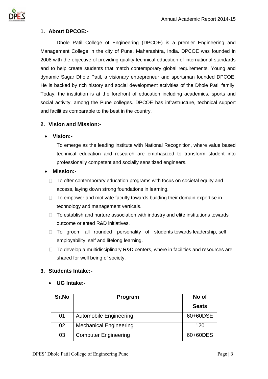

### **1. About DPCOE:-**

Dhole Patil College of Engineering (DPCOE) is a premier Engineering and Management College in the city of Pune, Maharashtra, India. DPCOE was founded in 2008 with the objective of providing quality technical education of international standards and to help create students that match contemporary global requirements. Young and dynamic Sagar Dhole Patil**,** a visionary entrepreneur and sportsman founded DPCOE. He is backed by rich history and social development activities of the Dhole Patil family. Today, the institution is at the forefront of education including academics, sports and social activity, among the Pune colleges. DPCOE has infrastructure, technical support and facilities comparable to the best in the country.

### **2. Vision and Mission:-**

### • **Vision:-**

To emerge as the leading institute with National Recognition, where value based technical education and research are emphasized to transform student into professionally competent and socially sensitized engineers.

### • **Mission:-**

- $\Box$  To offer contemporary education programs with focus on societal equity and access, laying down strong foundations in learning.
- $\Box$  To empower and motivate faculty towards building their domain expertise in technology and management verticals.
- $\Box$  To establish and nurture association with industry and elite institutions towards outcome oriented R&D initiatives.
- $\Box$  To groom all rounded personality of students towards leadership, self employability, self and lifelong learning.
- $\Box$  To develop a multidisciplinary R&D centers, where in facilities and resources are shared for well being of society.

### **3. Students Intake:-**

• **UG Intake:-**

| Sr.No | Program                       | No of        |
|-------|-------------------------------|--------------|
|       |                               | <b>Seats</b> |
| 01    | <b>Automobile Engineering</b> | 60+60DSE     |
| 02    | <b>Mechanical Engineering</b> | 120          |
| 03    | <b>Computer Engineering</b>   | 60+60DES     |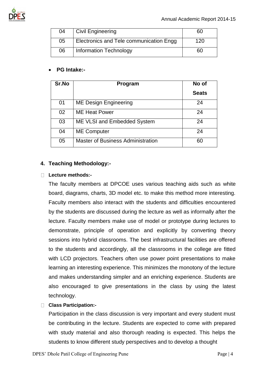

| 04 | <sup>'</sup> Civil Engineering          | hП  |
|----|-----------------------------------------|-----|
| 05 | Electronics and Tele communication Engg | 120 |
| 06 | <b>Information Technology</b>           | 60  |

### • **PG Intake:-**

| Sr.No | Program                                  | No of        |
|-------|------------------------------------------|--------------|
|       |                                          | <b>Seats</b> |
| 01    | <b>ME Design Engineering</b>             | 24           |
| 02    | <b>ME Heat Power</b>                     | 24           |
| 03    | ME VLSI and Embedded System              | 24           |
| 04    | <b>ME Computer</b>                       | 24           |
| 05    | <b>Master of Business Administration</b> | 60           |

### **4. Teaching Methodology:-**

### **Lecture methods:-**

The faculty members at DPCOE uses various teaching aids such as white board, diagrams, charts, 3D model etc. to make this method more interesting. Faculty members also interact with the students and difficulties encountered by the students are discussed during the lecture as well as informally after the lecture. Faculty members make use of model or prototype during lectures to demonstrate, principle of operation and explicitly by converting theory sessions into hybrid classrooms. The best infrastructural facilities are offered to the students and accordingly, all the classrooms in the college are fitted with LCD projectors. Teachers often use power point presentations to make learning an interesting experience. This minimizes the monotony of the lecture and makes understanding simpler and an enriching experience. Students are also encouraged to give presentations in the class by using the latest technology.

### **Class Participation:-**

Participation in the class discussion is very important and every student must be contributing in the lecture. Students are expected to come with prepared with study material and also thorough reading is expected. This helps the students to know different study perspectives and to develop a thought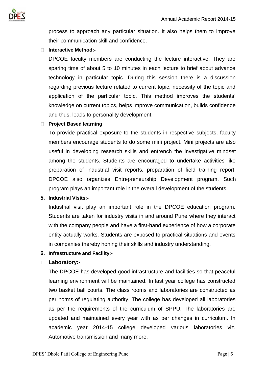

process to approach any particular situation. It also helps them to improve their communication skill and confidence.

### **Interactive Method:-**

DPCOE faculty members are conducting the lecture interactive. They are sparing time of about 5 to 10 minutes in each lecture to brief about advance technology in particular topic. During this session there is a discussion regarding previous lecture related to current topic, necessity of the topic and application of the particular topic. This method improves the students' knowledge on current topics, helps improve communication, builds confidence and thus, leads to personality development.

### **Project Based learning**

To provide practical exposure to the students in respective subjects, faculty members encourage students to do some mini project. Mini projects are also useful in developing research skills and entrench the investigative mindset among the students. Students are encouraged to undertake activities like preparation of industrial visit reports, preparation of field training report. DPCOE also organizes Entrepreneurship Development program. Such program plays an important role in the overall development of the students.

### **5. Industrial Visits:-**

Industrial visit play an important role in the DPCOE education program. Students are taken for industry visits in and around Pune where they interact with the company people and have a first-hand experience of how a corporate entity actually works. Students are exposed to practical situations and events in companies thereby honing their skills and industry understanding.

### **6. Infrastructure and Facility:-**

### **Laboratory:-**

The DPCOE has developed good infrastructure and facilities so that peaceful learning environment will be maintained. In last year college has constructed two basket ball courts. The class rooms and laboratories are constructed as per norms of regulating authority. The college has developed all laboratories as per the requirements of the curriculum of SPPU. The laboratories are updated and maintained every year with as per changes in curriculum. In academic year 2014-15 college developed various laboratories viz. Automotive transmission and many more.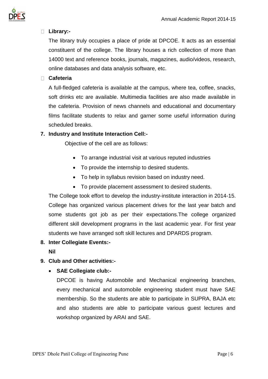

### **Library:-**

The library truly occupies a place of pride at DPCOE. It acts as an essential constituent of the college. The library houses a rich collection of more than 14000 text and reference books, journals, magazines, audio/videos, research, online databases and data analysis software, etc.

### **Cafeteria**

A full-fledged cafeteria is available at the campus, where tea, coffee, snacks, soft drinks etc are available. Multimedia facilities are also made available in the cafeteria. Provision of news channels and educational and documentary films facilitate students to relax and garner some useful information during scheduled breaks.

### **7. Industry and Institute Interaction Cell:-**

Objective of the cell are as follows:

- To arrange industrial visit at various reputed industries
- To provide the internship to desired students.
- To help in syllabus revision based on industry need.
- To provide placement assessment to desired students.

The College took effort to develop the industry-institute interaction in 2014-15. College has organized various placement drives for the last year batch and some students got job as per their expectations.The college organized different skill development programs in the last academic year. For first year students we have arranged soft skill lectures and DPARDS program.

**8. Inter Collegiate Events:-**

**Nil**

### **9. Club and Other activities:-**

• **SAE Collegiate club:-**

DPCOE is having Automobile and Mechanical engineering branches, every mechanical and automobile engineering student must have SAE membership. So the students are able to participate in SUPRA, BAJA etc and also students are able to participate various guest lectures and workshop organized by ARAI and SAE.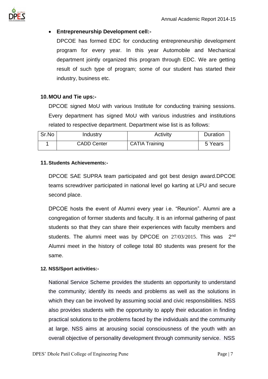

### • **Entrepreneurship Development cell:-**

DPCOE has formed EDC for conducting entrepreneurship development program for every year. In this year Automobile and Mechanical department jointly organized this program through EDC. We are getting result of such type of program; some of our student has started their industry, business etc.

### **10.MOU and Tie ups:-**

DPCOE signed MoU with various Institute for conducting training sessions. Every department has signed MoU with various industries and institutions related to respective department. Department wise list is as follows:

| Sr.No | Industry           | Activity              | <b>Duration</b> |
|-------|--------------------|-----------------------|-----------------|
|       | <b>CADD Center</b> | <b>CATIA Training</b> | 5 Years         |

### **11.Students Achievements:-**

DPCOE SAE SUPRA team participated and got best design award.DPCOE teams screwdriver participated in national level go karting at LPU and secure second place.

DPCOE hosts the event of Alumni every year i.e. "Reunion". Alumni are a congregation of former students and faculty. It is an informal gathering of past students so that they can share their experiences with faculty members and students. The alumni meet was by DPCOE on 27/03/2015. This was 2nd Alumni meet in the history of college total 80 students was present for the same.

### **12. NSS/Sport activities:-**

National Service Scheme provides the students an opportunity to understand the community; identify its needs and problems as well as the solutions in which they can be involved by assuming social and civic responsibilities. NSS also provides students with the opportunity to apply their education in finding practical solutions to the problems faced by the individuals and the community at large. NSS aims at arousing social consciousness of the youth with an overall objective of personality development through community service. NSS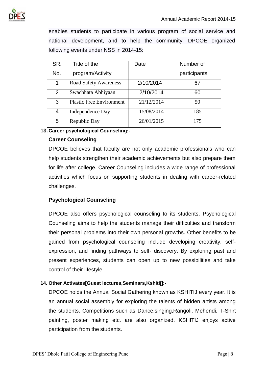

enables students to participate in various program of social service and national development, and to help the community. DPCOE organized following events under NSS in 2014-15:

| SR.            | Title of the                    | Date       | Number of    |
|----------------|---------------------------------|------------|--------------|
| No.            | program/Activity                |            | participants |
| 1              | <b>Road Safety Awareness</b>    | 2/10/2014  | 67           |
| $\overline{2}$ | Swachhata Abhiyaan              | 2/10/2014  | 60           |
| 3              | <b>Plastic Free Environment</b> | 21/12/2014 | 50           |
| 4              | Independence Day                | 15/08/2014 | 185          |
| 5              | Republic Day                    | 26/01/2015 | 175          |

### **13.Career psychological Counseling:-**

### **Career Counseling**

DPCOE believes that faculty are not only academic professionals who can help students strengthen their academic achievements but also prepare them for life after college. Career Counseling includes a wide range of professional activities which focus on supporting students in dealing with career-related challenges.

### **Psychological Counseling**

DPCOE also offers psychological counseling to its students. Psychological Counseling aims to help the students manage their difficulties and transform their personal problems into their own personal growths. Other benefits to be gained from psychological counseling include developing creativity, selfexpression, and finding pathways to self- discovery. By exploring past and present experiences, students can open up to new possibilities and take control of their lifestyle.

### **14. Other Activates[Guest lectures,Seminars,Kshitij]:-**

DPCOE holds the Annual Social Gathering known as KSHITIJ every year. It is an annual social assembly for exploring the talents of hidden artists among the students. Competitions such as Dance,singing,Rangoli, Mehendi, T-Shirt painting, poster making etc. are also organized. KSHITIJ enjoys active participation from the students.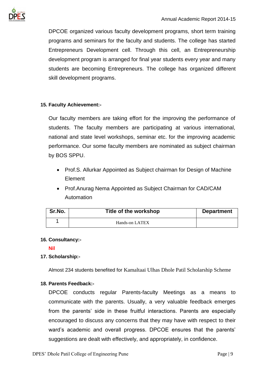

DPCOE organized various faculty development programs, short term training programs and seminars for the faculty and students. The college has started Entrepreneurs Development cell. Through this cell, an Entrepreneurship development program is arranged for final year students every year and many students are becoming Entrepreneurs. The college has organized different skill development programs.

### **15. Faculty Achievement:-**

Our faculty members are taking effort for the improving the performance of students. The faculty members are participating at various international, national and state level workshops, seminar etc. for the improving academic performance. Our some faculty members are nominated as subject chairman by BOS SPPU.

- Prof.S. Allurkar Appointed as Subject chairman for Design of Machine Element
- Prof.Anurag Nema Appointed as Subject Chairman for CAD/CAM Automation

| Sr.No. | Title of the workshop | <b>Department</b> |
|--------|-----------------------|-------------------|
|        | Hands-on LATEX        |                   |

### **16. Consultancy:-**

### **Nil**

### **17. Scholarship:-**

Almost 234 students benefited for Kamaltaai Ulhas Dhole Patil Scholarship Scheme

### **18. Parents Feedback:-**

DPCOE conducts regular Parents-faculty Meetings as a means to communicate with the parents. Usually, a very valuable feedback emerges from the parents' side in these fruitful interactions. Parents are especially encouraged to discuss any concerns that they may have with respect to their ward's academic and overall progress. DPCOE ensures that the parents' suggestions are dealt with effectively, and appropriately, in confidence.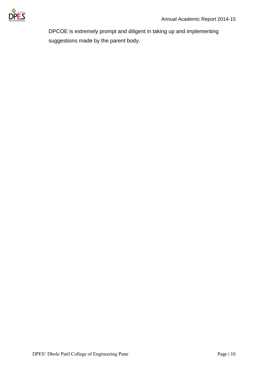

DPCOE is extremely prompt and diligent in taking up and implementing suggestions made by the parent body.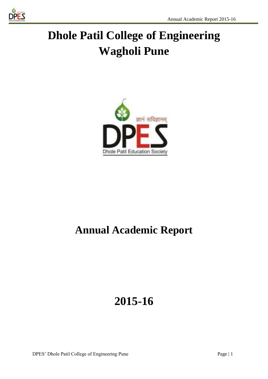

# **Dhole Patil College of Engineering Wagholi Pune**



## **Annual Academic Report**

## **2015-16**

DPES' Dhole Patil College of Engineering Pune Page | 1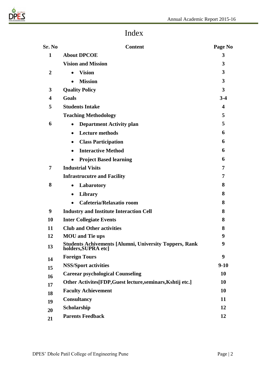

### Index

| Sr. No           | <b>Content</b>                                                                       | Page No |
|------------------|--------------------------------------------------------------------------------------|---------|
| $\mathbf{1}$     | <b>About DPCOE</b>                                                                   | 3       |
|                  | <b>Vision and Mission</b>                                                            | 3       |
| $\boldsymbol{2}$ | <b>Vision</b><br>$\bullet$                                                           | 3       |
|                  | <b>Mission</b>                                                                       | 3       |
| 3                | <b>Quality Policy</b>                                                                | 3       |
| $\boldsymbol{4}$ | Goals                                                                                | $3-4$   |
| 5                | <b>Students Intake</b>                                                               | 4       |
|                  | <b>Teaching Methodology</b>                                                          | 5       |
| 6                | <b>Department Activity plan</b>                                                      | 5       |
|                  | <b>Lecture methods</b><br>$\bullet$                                                  | 6       |
|                  | <b>Class Participation</b><br>$\bullet$                                              | 6       |
|                  | <b>Interactive Method</b><br>$\bullet$                                               | 6       |
|                  | <b>Project Based learning</b><br>$\bullet$                                           | 6       |
| 7                | <b>Industrial Visits</b>                                                             | 7       |
|                  | <b>Infrastrucutre and Facility</b>                                                   | 7       |
| 8                | Labarotory<br>$\bullet$                                                              | 8       |
|                  | Library<br>$\bullet$                                                                 | 8       |
|                  | Cafeteria/Relaxatio room                                                             | 8       |
| 9                | <b>Industry and Institute Interaction Cell</b>                                       | 8       |
| 10               | <b>Inter Collegiate Events</b>                                                       | 8       |
| 11               | <b>Club and Other activities</b>                                                     | 8       |
| 12               | <b>MOU</b> and Tie ups                                                               | 9       |
| 13               | <b>Students Achivements [Alumni, University Toppers, Rank</b><br>holders, SUPRA etcl | 9       |
| 14               | <b>Foreign Tours</b>                                                                 | 9       |
| 15               | <b>NSS/Sport activities</b>                                                          | $9-10$  |
| 16               | <b>Careear psychological Counseling</b>                                              | 10      |
| 17               | Other Activites [FDP, Guest lecture, seminars, Kshtij etc.]                          | 10      |
| 18               | <b>Faculty Achievement</b>                                                           | 10      |
| 19               | <b>Consultancy</b>                                                                   | 11      |
| 20               | Scholarship                                                                          | 12      |
| 21               | <b>Parents Feedback</b>                                                              | 12      |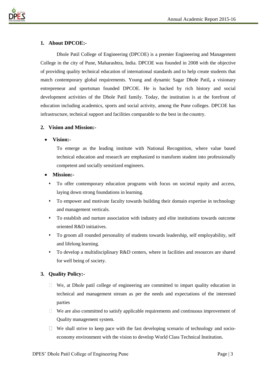



### **1. About DPCOE:-**

Dhole Patil College of Engineering (DPCOE) is a premier Engineering and Management College in the city of Pune, Maharashtra, India. DPCOE was founded in 2008 with the objective of providing quality technical education of international standards and to help create students that match contemporary global requirements. Young and dynamic Sagar Dhole Patil**,** a visionary entrepreneur and sportsman founded DPCOE. He is backed by rich history and social development activities of the Dhole Patil family. Today, the institution is at the forefront of education including academics, sports and social activity, among the Pune colleges. DPCOE has infrastructure, technical support and facilities comparable to the best in the country.

### **2. Vision and Mission:-**

#### • **Vision:-**

To emerge as the leading institute with National Recognition, where value based technical education and research are emphasized to transform student into professionally competent and socially sensitized engineers.

### • **Mission:-**

- ⬧ To offer contemporary education programs with focus on societal equity and access, laying down strong foundations in learning.
- ⬧ To empower and motivate faculty towards building their domain expertise in technology and management verticals.
- ⬧ To establish and nurture association with industry and elite institutions towards outcome oriented R&D initiatives.
- ⬧ To groom all rounded personality of students towards leadership, self employability, self and lifelong learning.
- ⬧ To develop a multidisciplinary R&D centers, where in facilities and resources are shared for well being of society.

### **3. Quality Policy:-**

- $\Box$  We, at Dhole patil college of engineering are committed to impart quality education in technical and management stream as per the needs and expectations of the interested parties
- $\Box$  We are also committed to satisfy applicable requirements and continuous improvement of Quality management system.
- $\Box$  We shall strive to keep pace with the fast developing scenario of technology and socioeconomy environment with the vision to develop World Class Technical Institution.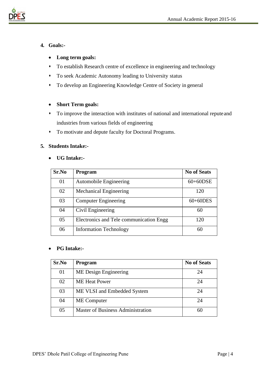

### **4. Goals:-**

- **Long term goals:**
- ⬧ To establish Research centre of excellence in engineering and technology
- ⬧ To seek Academic Autonomy leading to University status
- ⬧ To develop an Engineering Knowledge Centre of Society in general

### • **Short Term goals:**

- ⬧ To improve the interaction with institutes of national and international reputeand industries from various fields of engineering
- ⬧ To motivate and depute faculty for Doctoral Programs.

### **5. Students Intake:-**

### • **UG Intake:-**

| Sr.No | <b>Program</b>                          | <b>No of Seats</b> |
|-------|-----------------------------------------|--------------------|
| 01    | <b>Automobile Engineering</b>           | $60+60$ DSE        |
| 02    | <b>Mechanical Engineering</b>           | 120                |
| 03    | <b>Computer Engineering</b>             | $60+60$ DES        |
| 04    | Civil Engineering                       | 60                 |
| 05    | Electronics and Tele communication Engg | 120                |
| 06    | <b>Information Technology</b>           | 60                 |

### • **PG Intake:-**

| Sr.No | <b>Program</b>                           | <b>No of Seats</b> |
|-------|------------------------------------------|--------------------|
| 01    | ME Design Engineering                    | 24                 |
| 02    | <b>ME</b> Heat Power                     | 24                 |
| 03    | ME VLSI and Embedded System              | 24                 |
| 04    | <b>ME</b> Computer                       | 24                 |
| 05    | <b>Master of Business Administration</b> |                    |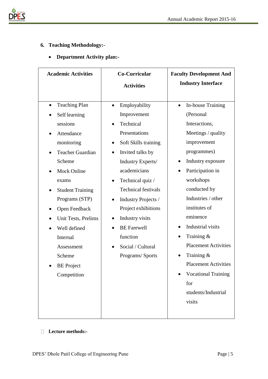

### **6. Teaching Methodology:-**

### • **Department Activity plan:-**

| <b>Academic Activities</b>                                                                                                                                                                                                                                                                                                                  | Co-Curricular<br><b>Activities</b>                                                                                                                                                                                                                                                                                                                                                                        | <b>Faculty Development And</b><br><b>Industry Interface</b>                                                                                                                                                                                                                                                                                                                                                                                       |
|---------------------------------------------------------------------------------------------------------------------------------------------------------------------------------------------------------------------------------------------------------------------------------------------------------------------------------------------|-----------------------------------------------------------------------------------------------------------------------------------------------------------------------------------------------------------------------------------------------------------------------------------------------------------------------------------------------------------------------------------------------------------|---------------------------------------------------------------------------------------------------------------------------------------------------------------------------------------------------------------------------------------------------------------------------------------------------------------------------------------------------------------------------------------------------------------------------------------------------|
| <b>Teaching Plan</b><br>$\bullet$<br>Self learning<br>sessions<br>Attendance<br>monitoring<br><b>Teacher Guardian</b><br>Scheme<br><b>Mock Online</b><br>exams<br><b>Student Training</b><br>Programs (STP)<br>Open Feedback<br>Unit Tests, Prelims<br>Well defined<br>Internal<br>Assessment<br>Scheme<br><b>BE</b> Project<br>Competition | Employability<br>$\bullet$<br>Improvement<br>Technical<br>Presentations<br>Soft Skills training<br>$\bullet$<br>Invited talks by<br>Industry Experts/<br>academicians<br>Technical quiz /<br>$\bullet$<br><b>Technical festivals</b><br>Industry Projects /<br>$\bullet$<br>Project exhibitions<br>Industry visits<br>$\bullet$<br><b>BE</b> Farewell<br>function<br>Social / Cultural<br>Programs/Sports | In-house Training<br>$\bullet$<br>(Personal<br>Interactions,<br>Meetings / quality<br>improvement<br>programmes)<br>Industry exposure<br>Participation in<br>workshops<br>conducted by<br>Industries / other<br>institutes of<br>eminence<br>Industrial visits<br>$\bullet$<br>Training $\&$<br><b>Placement Activities</b><br>Training $\&$<br><b>Placement Activities</b><br><b>Vocational Training</b><br>for<br>students/Industrial<br>visits |

**Lecture methods:-**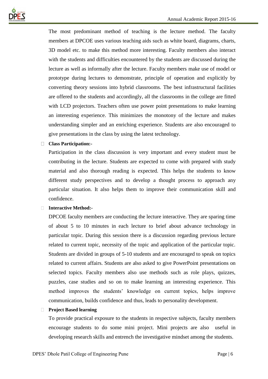

The most predominant method of teaching is the lecture method. The faculty members at DPCOE uses various teaching aids such as white board, diagrams, charts, 3D model etc. to make this method more interesting. Faculty members also interact with the students and difficulties encountered by the students are discussed during the lecture as well as informally after the lecture. Faculty members make use of model or prototype during lectures to demonstrate, principle of operation and explicitly by converting theory sessions into hybrid classrooms. The best infrastructural facilities are offered to the students and accordingly, all the classrooms in the college are fitted with LCD projectors. Teachers often use power point presentations to make learning an interesting experience. This minimizes the monotony of the lecture and makes understanding simpler and an enriching experience. Students are also encouraged to give presentations in the class by using the latest technology.

### **Class Participation:-**

Participation in the class discussion is very important and every student must be contributing in the lecture. Students are expected to come with prepared with study material and also thorough reading is expected. This helps the students to know different study perspectives and to develop a thought process to approach any particular situation. It also helps them to improve their communication skill and confidence.

### **Interactive Method:-**

DPCOE faculty members are conducting the lecture interactive. They are sparing time of about 5 to 10 minutes in each lecture to brief about advance technology in particular topic. During this session there is a discussion regarding previous lecture related to current topic, necessity of the topic and application of the particular topic. Students are divided in groups of 5-10 students and are encouraged to speak on topics related to current affairs. Students are also asked to give PowerPoint presentations on selected topics. Faculty members also use methods such as role plays, quizzes, puzzles, case studies and so on to make learning an interesting experience. This method improves the students' knowledge on current topics, helps improve communication, builds confidence and thus, leads to personality development.

#### **Project Based learning**

To provide practical exposure to the students in respective subjects, faculty members encourage students to do some mini project. Mini projects are also useful in developing research skills and entrench the investigative mindset among the students.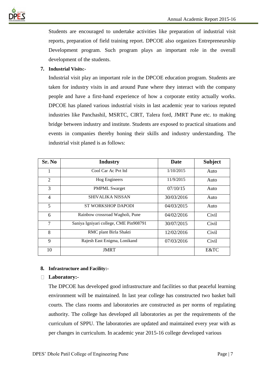

Students are encouraged to undertake activities like preparation of industrial visit reports, preparation of field training report. DPCOE also organizes Entrepreneurship Development program. Such program plays an important role in the overall development of the students.

### **7. Industrial Visits:-**

Industrial visit play an important role in the DPCOE education program. Students are taken for industry visits in and around Pune where they interact with the company people and have a first-hand experience of how a corporate entity actually works. DPCOE has planed various industrial visits in last academic year to various reputed industries like Panchashil, MSRTC, CIRT, Talera ford, JMRT Pune etc. to making bridge between industry and institute. Students are exposed to practical situations and events in companies thereby honing their skills and industry understanding. The industrial visit planed is as follows:

| Sr. No         | <b>Industry</b>                        | Date       | <b>Subject</b> |
|----------------|----------------------------------------|------------|----------------|
| 1              | Cool Car Ac Pyt ltd                    | 1/10/2015  | Auto           |
| $\overline{2}$ | Hog Engineers                          | 11/9/2015  | Auto           |
| 3              | <b>PMPML Swarget</b>                   | 07/10/15   | Auto           |
| 4              | <b>SHIVALIKA NISSAN</b>                | 30/03/2016 | Auto           |
| 5              | <b>ST WORKSHOP DAPODI</b>              | 04/03/2015 | Auto           |
| 6              | Rainbow crossroad Wagholi, Pune        | 04/02/2016 | Civil          |
| 7              | Saniya Igniyari college, CME Pin908791 | 30/07/2015 | Civil          |
| 8              | RMC plant Birla Shakti                 | 12/02/2016 | Civil          |
| 9              | Rajesh East Enigma, Lonikand           | 07/03/2016 | Civil          |
| 10             | <b>JMRT</b>                            |            | E&TC           |

### **8. Infrastructure and Facility:-**

### **Laboratory:-**

The DPCOE has developed good infrastructure and facilities so that peaceful learning environment will be maintained. In last year college has constructed two basket ball courts. The class rooms and laboratories are constructed as per norms of regulating authority. The college has developed all laboratories as per the requirements of the curriculum of SPPU. The laboratories are updated and maintained every year with as per changes in curriculum. In academic year 2015-16 college developed various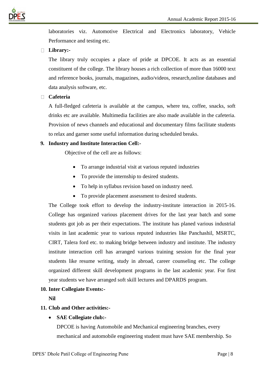

laboratories viz. Automotive Electrical and Electronics laboratory, Vehicle Performance and testing etc.

### **Library:-**

The library truly occupies a place of pride at DPCOE. It acts as an essential constituent of the college. The library houses a rich collection of more than 16000 text and reference books, journals, magazines, audio/videos, research,online databases and data analysis software, etc.

### **Cafeteria**

A full-fledged cafeteria is available at the campus, where tea, coffee, snacks, soft drinks etc are available. Multimedia facilities are also made available in the cafeteria. Provision of news channels and educational and documentary films facilitate students to relax and garner some useful information during scheduled breaks.

### **9. Industry and Institute Interaction Cell:-**

Objective of the cell are as follows:

- To arrange industrial visit at various reputed industries
- To provide the internship to desired students.
- To help in syllabus revision based on industry need.
- To provide placement assessment to desired students.

The College took effort to develop the industry-institute interaction in 2015-16. College has organized various placement drives for the last year batch and some students got job as per their expectations. The institute has planed various industrial visits in last academic year to various reputed industries like Panchashil, MSRTC, CIRT, Talera ford etc. to making bridge between industry and institute. The industry institute interaction cell has arranged various training session for the final year students like resume writing, study in abroad, career counseling etc. The college organized different skill development programs in the last academic year. For first year students we have arranged soft skill lectures and DPARDS program.

### **10. Inter Collegiate Events:-**

**Nil**

### **11. Club and Other activities:-**

### • **SAE Collegiate club:-**

DPCOE is having Automobile and Mechanical engineering branches, every mechanical and automobile engineering student must have SAE membership. So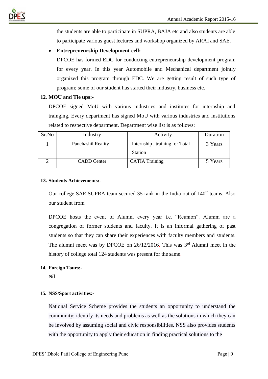

the students are able to participate in SUPRA, BAJA etc and also students are able to participate various guest lectures and workshop organized by ARAI and SAE.

### • **Entrepreneurship Development cell:-**

DPCOE has formed EDC for conducting entrepreneurship development program for every year. In this year Automobile and Mechanical department jointly organized this program through EDC. We are getting result of such type of program; some of our student has started their industry, business etc.

### **12. MOU and Tie ups:-**

DPCOE signed MoU with various industries and institutes for internship and trainging. Every department has signed MoU with various industries and institutions related to respective department. Department wise list is as follows:

| Sr.No | Industry           | Activity                                         | Duration |
|-------|--------------------|--------------------------------------------------|----------|
|       | Panchashil Reality | Internship, training for Total<br><b>Station</b> | 3 Years  |
|       | <b>CADD</b> Center | <b>CATIA Training</b>                            | 5 Years  |

### **13. Students Achievements:-**

Our college SAE SUPRA team secured 35 rank in the India out of 140<sup>th</sup> teams. Also our student from

DPCOE hosts the event of Alumni every year i.e. "Reunion". Alumni are a congregation of former students and faculty. It is an informal gathering of past students so that they can share their experiences with faculty members and students. The alumni meet was by DPCOE on  $26/12/2016$ . This was  $3<sup>rd</sup>$  Alumni meet in the history of college total 124 students was present for the same.

### **14. Foreign Tours:-**

**Nil**

### **15. NSS/Sport activities:-**

National Service Scheme provides the students an opportunity to understand the community; identify its needs and problems as well as the solutions in which they can be involved by assuming social and civic responsibilities. NSS also provides students with the opportunity to apply their education in finding practical solutions to the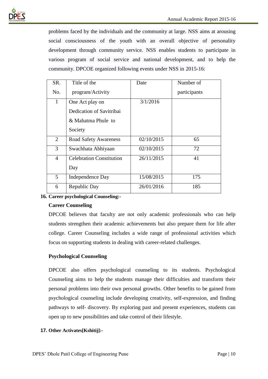

problems faced by the individuals and the community at large. NSS aims at arousing social consciousness of the youth with an overall objective of personality development through community service. NSS enables students to participate in various program of social service and national development, and to help the community. DPCOE organized following events under NSS in 2015-16:

| SR.            | Title of the                    | Date       | Number of    |
|----------------|---------------------------------|------------|--------------|
| No.            | program/Activity                |            | participants |
| $\mathbf{1}$   | One Act play on                 | 3/1/2016   |              |
|                | Dedication of Savitribai        |            |              |
|                | & Mahatma Phule to              |            |              |
|                | Society                         |            |              |
| 2              | <b>Road Safety Awareness</b>    | 02/10/2015 | 65           |
| 3              | Swachhata Abhiyaan              | 02/10/2015 | 72           |
| $\overline{4}$ | <b>Celebration Constitution</b> | 26/11/2015 | 41           |
|                | Day                             |            |              |
| 5              | Independence Day                | 15/08/2015 | 175          |
| 6              | Republic Day                    | 26/01/2016 | 185          |

### **16. Career psychological Counseling:-**

### **Career Counseling**

DPCOE believes that faculty are not only academic professionals who can help students strengthen their academic achievements but also prepare them for life after college. Career Counseling includes a wide range of professional activities which focus on supporting students in dealing with career-related challenges.

### **Psychological Counseling**

DPCOE also offers psychological counseling to its students. Psychological Counseling aims to help the students manage their difficulties and transform their personal problems into their own personal growths. Other benefits to be gained from psychological counseling include developing creativity, self-expression, and finding pathways to self- discovery. By exploring past and present experiences, students can open up to new possibilities and take control of their lifestyle.

### **17. Other Activates[Kshitij]:-**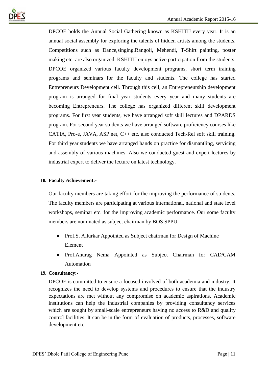

DPCOE holds the Annual Social Gathering known as KSHITIJ every year. It is an annual social assembly for exploring the talents of hidden artists among the students. Competitions such as Dance,singing,Rangoli, Mehendi, T-Shirt painting, poster making etc. are also organized. KSHITIJ enjoys active participation from the students. DPCOE organized various faculty development programs, short term training programs and seminars for the faculty and students. The college has started Entrepreneurs Development cell. Through this cell, an Entrepreneurship development program is arranged for final year students every year and many students are becoming Entrepreneurs. The college has organized different skill development programs. For first year students, we have arranged soft skill lectures and DPARDS program. For second year students we have arranged software proficiency courses like CATIA, Pro-e, JAVA, ASP.net, C++ etc. also conducted Tech-Rel soft skill training. For third year students we have arranged hands on practice for dismantling, servicing and assembly of various machines. Also we conducted guest and expert lectures by industrial expert to deliver the lecture on latest technology.

### **18. Faculty Achievement:-**

Our faculty members are taking effort for the improving the performance of students. The faculty members are participating at various international, national and state level workshops, seminar etc. for the improving academic performance. Our some faculty members are nominated as subject chairman by BOS SPPU.

- Prof.S. Allurkar Appointed as Subject chairman for Design of Machine Element
- Prof.Anurag Nema Appointed as Subject Chairman for CAD/CAM Automation

### **19. Consultancy:-**

DPCOE is committed to ensure a focused involved of both academia and industry. It recognizes the need to develop systems and procedures to ensure that the industry expectations are met without any compromise on academic aspirations. Academic institutions can help the industrial companies by providing consultancy services which are sought by small-scale entrepreneurs having no access to R&D and quality control facilities. It can be in the form of evaluation of products, processes, software development etc.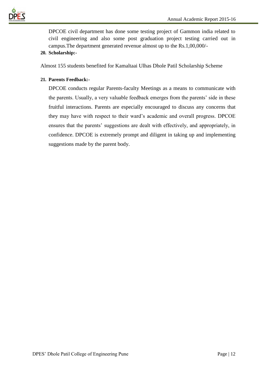

DPCOE civil department has done some testing project of Gammon india related to civil engineering and also some post graduation project testing carried out in campus.The department generated revenue almost up to the Rs.1,00,000/-

### **20. Scholarship:-**

Almost 155 students benefited for Kamaltaai Ulhas Dhole Patil Scholarship Scheme

### **21. Parents Feedback:-**

DPCOE conducts regular Parents-faculty Meetings as a means to communicate with the parents. Usually, a very valuable feedback emerges from the parents' side in these fruitful interactions. Parents are especially encouraged to discuss any concerns that they may have with respect to their ward's academic and overall progress. DPCOE ensures that the parents' suggestions are dealt with effectively, and appropriately, in confidence. DPCOE is extremely prompt and diligent in taking up and implementing suggestions made by the parent body.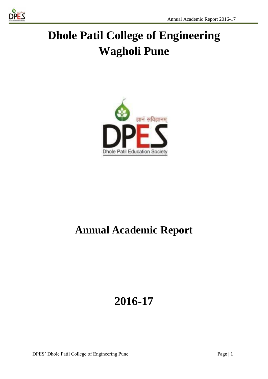

# **Dhole Patil College of Engineering Wagholi Pune**



## **Annual Academic Report**

## **2016-17**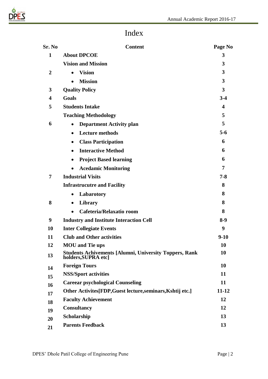

### Index

| Sr. No         | <b>Content</b>                                                                       | Page No                 |
|----------------|--------------------------------------------------------------------------------------|-------------------------|
| $\mathbf{1}$   | <b>About DPCOE</b>                                                                   | 3                       |
|                | <b>Vision and Mission</b>                                                            | 3                       |
| $\overline{2}$ | <b>Vision</b><br>$\bullet$                                                           | 3                       |
|                | <b>Mission</b>                                                                       | 3                       |
| 3              | <b>Quality Policy</b>                                                                | $\mathbf{3}$            |
| 4              | <b>Goals</b>                                                                         | $3-4$                   |
| 5              | <b>Students Intake</b>                                                               | $\overline{\mathbf{4}}$ |
|                | <b>Teaching Methodology</b>                                                          | 5                       |
| 6              | <b>Department Activity plan</b>                                                      | 5                       |
|                | <b>Lecture methods</b><br>$\bullet$                                                  | $5 - 6$                 |
|                | <b>Class Participation</b><br>$\bullet$                                              | 6                       |
|                | <b>Interactive Method</b><br>$\bullet$                                               | 6                       |
|                | <b>Project Based learning</b><br>$\bullet$                                           | 6                       |
|                | <b>Acedamic Monitoring</b>                                                           | 7                       |
| 7              | <b>Industrial Visits</b>                                                             | $7 - 8$                 |
|                | <b>Infrastrucutre and Facility</b>                                                   | 8                       |
|                | Labarotory<br>$\bullet$                                                              | 8                       |
| 8              | Library<br>$\bullet$                                                                 | 8                       |
|                | Cafeteria/Relaxatio room                                                             | 8                       |
| 9              | <b>Industry and Institute Interaction Cell</b>                                       | $8-9$                   |
| 10             | <b>Inter Collegiate Events</b>                                                       | 9                       |
| 11             | <b>Club and Other activities</b>                                                     | $9-10$                  |
| 12             | <b>MOU</b> and Tie ups                                                               | <b>10</b>               |
| 13             | <b>Students Achivements [Alumni, University Toppers, Rank</b><br>holders, SUPRA etcl | <b>10</b>               |
| 14             | <b>Foreign Tours</b>                                                                 | 10                      |
| 15             | <b>NSS/Sport activities</b>                                                          | 11                      |
| 16             | <b>Careear psychological Counseling</b>                                              | 11                      |
| 17             | Other Activites [FDP, Guest lecture, seminars, Kshtij etc.]                          | $11 - 12$               |
| 18             | <b>Faculty Achievement</b>                                                           | 12                      |
| 19             | <b>Consultancy</b>                                                                   | 12                      |
| 20             | Scholarship                                                                          | 13                      |
| 21             | <b>Parents Feedback</b>                                                              | 13                      |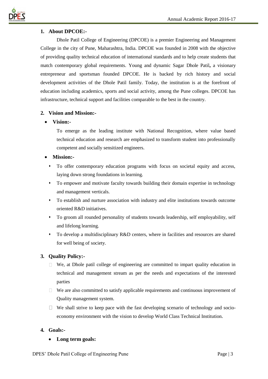

### **1. About DPCOE:-**

Dhole Patil College of Engineering (DPCOE) is a premier Engineering and Management College in the city of Pune, Maharashtra, India. DPCOE was founded in 2008 with the objective of providing quality technical education of international standards and to help create students that match contemporary global requirements. Young and dynamic Sagar Dhole Patil**,** a visionary entrepreneur and sportsman founded DPCOE. He is backed by rich history and social development activities of the Dhole Patil family. Today, the institution is at the forefront of education including academics, sports and social activity, among the Pune colleges. DPCOE has infrastructure, technical support and facilities comparable to the best in the country.

### **2. Vision and Mission:-**

### • **Vision:-**

To emerge as the leading institute with National Recognition, where value based technical education and research are emphasized to transform student into professionally competent and socially sensitized engineers.

### • **Mission:-**

- ⬧ To offer contemporary education programs with focus on societal equity and access, laying down strong foundations in learning.
- ⬧ To empower and motivate faculty towards building their domain expertise in technology and management verticals.
- ⬧ To establish and nurture association with industry and elite institutions towards outcome oriented R&D initiatives.
- ⬧ To groom all rounded personality of students towards leadership, self employability, self and lifelong learning.
- ⬧ To develop a multidisciplinary R&D centers, where in facilities and resources are shared for well being of society.

### **3. Quality Policy:-**

- $\Box$  We, at Dhole patil college of engineering are committed to impart quality education in technical and management stream as per the needs and expectations of the interested parties
- $\Box$  We are also committed to satisfy applicable requirements and continuous improvement of Quality management system.
- $\Box$  We shall strive to keep pace with the fast developing scenario of technology and socioeconomy environment with the vision to develop World Class Technical Institution.

### **4. Goals:-**

### • **Long term goals:**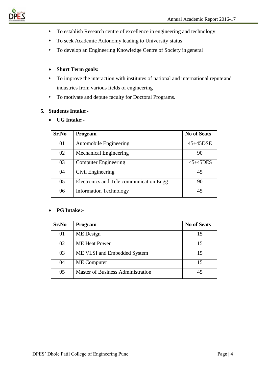

- ⬧ To establish Research centre of excellence in engineering and technology
- ⬧ To seek Academic Autonomy leading to University status
- ⬧ To develop an Engineering Knowledge Centre of Society in general

### • **Short Term goals:**

- ⬧ To improve the interaction with institutes of national and international reputeand industries from various fields of engineering
- ⬧ To motivate and depute faculty for Doctoral Programs.

### **5. Students Intake:-**

• **UG Intake:-**

| Sr.No | <b>Program</b>                          | <b>No of Seats</b> |
|-------|-----------------------------------------|--------------------|
| 01    | <b>Automobile Engineering</b>           | 45+45DSE           |
| 02    | <b>Mechanical Engineering</b>           | 90                 |
| 03    | <b>Computer Engineering</b>             | $45+45$ DES        |
| 04    | Civil Engineering                       | 45                 |
| 05    | Electronics and Tele communication Engg | 90                 |
| 06    | <b>Information Technology</b>           | 45                 |

### • **PG Intake:-**

| Sr.No | Program                                  | <b>No of Seats</b> |
|-------|------------------------------------------|--------------------|
| 01    | ME Design                                | 15                 |
| 02    | <b>ME</b> Heat Power                     | 15                 |
| 03    | ME VLSI and Embedded System              | 15                 |
| 04    | <b>ME</b> Computer                       | 15                 |
| 05    | <b>Master of Business Administration</b> |                    |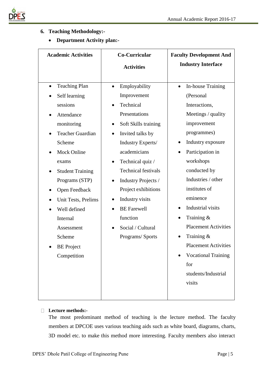

### **6. Teaching Methodology:-**

• **Department Activity plan:-**

| <b>Teaching Plan</b>                                                                                                                                                                                                                                               | <b>Activities</b><br>Employability<br>Improvement                                                                                                                                                                                                                                                                     | <b>Industry Interface</b><br>In-house Training                                                                                                                                                                                                                                                                       |
|--------------------------------------------------------------------------------------------------------------------------------------------------------------------------------------------------------------------------------------------------------------------|-----------------------------------------------------------------------------------------------------------------------------------------------------------------------------------------------------------------------------------------------------------------------------------------------------------------------|----------------------------------------------------------------------------------------------------------------------------------------------------------------------------------------------------------------------------------------------------------------------------------------------------------------------|
|                                                                                                                                                                                                                                                                    |                                                                                                                                                                                                                                                                                                                       |                                                                                                                                                                                                                                                                                                                      |
|                                                                                                                                                                                                                                                                    |                                                                                                                                                                                                                                                                                                                       |                                                                                                                                                                                                                                                                                                                      |
| Self learning<br>sessions<br>Attendance<br>monitoring<br><b>Teacher Guardian</b><br>Scheme<br><b>Mock Online</b><br>exams<br><b>Student Training</b><br>Programs (STP)<br>Open Feedback<br>Unit Tests, Prelims<br>Well defined<br>Internal<br>Assessment<br>Scheme | Technical<br>Presentations<br>Soft Skills training<br>Invited talks by<br>Industry Experts/<br>academicians<br>Technical quiz /<br><b>Technical festivals</b><br>Industry Projects /<br>$\bullet$<br>Project exhibitions<br>Industry visits<br><b>BE</b> Farewell<br>function<br>Social / Cultural<br>Programs/Sports | (Personal<br>Interactions,<br>Meetings / quality<br>improvement<br>programmes)<br>Industry exposure<br>$\bullet$<br>Participation in<br>workshops<br>conducted by<br>Industries / other<br>institutes of<br>eminence<br>Industrial visits<br>Training $\&$<br>$\bullet$<br><b>Placement Activities</b><br>Training & |
| <b>BE</b> Project<br>Competition                                                                                                                                                                                                                                   |                                                                                                                                                                                                                                                                                                                       | <b>Placement Activities</b><br><b>Vocational Training</b><br>for<br>students/Industrial<br>visits                                                                                                                                                                                                                    |

### **Lecture methods:-**

The most predominant method of teaching is the lecture method. The faculty members at DPCOE uses various teaching aids such as white board, diagrams, charts, 3D model etc. to make this method more interesting. Faculty members also interact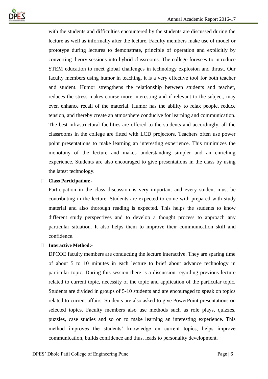

with the students and difficulties encountered by the students are discussed during the lecture as well as informally after the lecture. Faculty members make use of model or prototype during lectures to demonstrate, principle of operation and explicitly by converting theory sessions into hybrid classrooms. The college foresees to introduce STEM education to meet global challenges in technology explosion and thrust. Our faculty members using humor in teaching, it is a very effective tool for both teacher and student. Humor strengthens the relationship between students and teacher, reduces the stress makes course more interesting and if relevant to the subject, may even enhance recall of the material. Humor has the ability to relax people, reduce tension, and thereby create an atmosphere conducive for learning and communication. The best infrastructural facilities are offered to the students and accordingly, all the classrooms in the college are fitted with LCD projectors. Teachers often use power point presentations to make learning an interesting experience. This minimizes the monotony of the lecture and makes understanding simpler and an enriching experience. Students are also encouraged to give presentations in the class by using the latest technology.

### **Class Participation:-**

Participation in the class discussion is very important and every student must be contributing in the lecture. Students are expected to come with prepared with study material and also thorough reading is expected. This helps the students to know different study perspectives and to develop a thought process to approach any particular situation. It also helps them to improve their communication skill and confidence.

### **Interactive Method:-**

DPCOE faculty members are conducting the lecture interactive. They are sparing time of about 5 to 10 minutes in each lecture to brief about advance technology in particular topic. During this session there is a discussion regarding previous lecture related to current topic, necessity of the topic and application of the particular topic. Students are divided in groups of 5-10 students and are encouraged to speak on topics related to current affairs. Students are also asked to give PowerPoint presentations on selected topics. Faculty members also use methods such as role plays, quizzes, puzzles, case studies and so on to make learning an interesting experience. This method improves the students' knowledge on current topics, helps improve communication, builds confidence and thus, leads to personality development.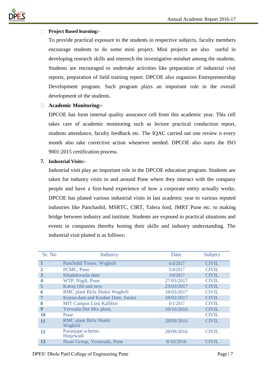

### **Project Based learning:-**

To provide practical exposure to the students in respective subjects, faculty members encourage students to do some mini project. Mini projects are also useful in developing research skills and entrench the investigative mindset among the students. Students are encouraged to undertake activities like preparation of industrial visit reports, preparation of field training report. DPCOE also organizes Entrepreneurship Development program. Such program plays an important role in the overall development of the students.

### **Academic Monitoring:-**

DPCOE has form internal quality assurance cell from this academic year. This cell takes care of academic monitoring such as lecture practical conduction report, students attendance, faculty feedback etc. The IQAC carried out one review n every month also take corrective action whenever needed. DPCOE also starts the ISO 9001:2015 certification process.

### **7. Industrial Visits:-**

Industrial visit play an important role in the DPCOE education program. Students are taken for industry visits in and around Pune where they interact with the company people and have a first-hand experience of how a corporate entity actually works. DPCOE has planed various industrial visits in last academic year to various reputed industries like Panchashil, MSRTC, CIRT, Talera ford, JMRT Pune etc. to making bridge between industry and institute. Students are exposed to practical situations and events in companies thereby honing their skills and industry understanding. The industrial visit planed is as follows:

| Sr. No       | <b>Industry</b>                          | Date       | Subject      |
|--------------|------------------------------------------|------------|--------------|
| $\mathbf{1}$ | Panchshil Tower, Wagholi                 | 6/4/2017   | <b>CIVIL</b> |
| 2            | PCMC, Pune                               | 5/4/2017   | <b>CIVIL</b> |
| 3            | Khadakwasla dam                          | 3/4/2017   | <b>CIVIL</b> |
|              | WTP, Nigdi, Pune                         | 27/03/2017 | <b>CIVIL</b> |
| 5            | Katraj Old and new                       | 23/03/2017 | <b>CIVIL</b> |
| 6            | RMC plant Birla Shakti Wagholi           | 18/03/2017 | <b>CIVIL</b> |
| 7            | Koyna dam and Kanher Dam, Satara         | 18/02/2017 | <b>CIVIL</b> |
| 8            | <b>MIT Campus Loni Kalbhor</b>           | 6/1/2017   | <b>CIVIL</b> |
| 9            | Yerwada Hot Mix plant,                   | 10/10/2016 | <b>CIVIL</b> |
| 10           | Pune                                     |            | <b>CIVIL</b> |
| 11           | <b>RMC</b> plant Birla Shakti<br>Wagholi | 28/09/2016 | <b>CIVIL</b> |
| 12           | Paranjape scheme,<br>Hinjewadi           | 28/09/2016 | <b>CIVIL</b> |
| 13           | Nyati Group, Yerawada, Pune              | 8/10/2016  | <b>CIVIL</b> |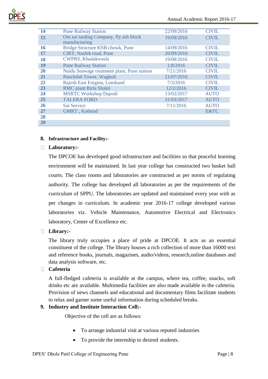

| 14        | <b>Pune Railway Station</b>                            | 22/09/2016 | <b>CIVIL</b> |
|-----------|--------------------------------------------------------|------------|--------------|
| 15        | Om sai tarding Company, fly ash block<br>manufacturing | 19/09/2016 | <b>CIVIL</b> |
| 16        | Bridge Structure KSB chowk, Pune                       | 14/09/2016 | <b>CIVIL</b> |
| 17        | CIRT, Nashik road, Pune                                | 20/09/2016 | <b>CIVIL</b> |
| 18        | <b>CWPRS, Khadakwasla</b>                              | 19/08/2016 | <b>CIVIL</b> |
| 19        | <b>Pune Railway Station</b>                            | 1/8/2016   | <b>CIVIL</b> |
| <b>20</b> | Naidu Seawage treatment plant, Pune station            | 7/21/2016  | <b>CIVIL</b> |
| <b>21</b> | Panchshil Tower, Wagholi                               | 21/07/2016 | <b>CIVIL</b> |
| 22        | Rajesh East Enigma, Lonikand                           | 7/3/2016   | <b>CIVIL</b> |
| 23        | RMC plant Birla Shakti                                 | 12/2/2016  | <b>CIVIL</b> |
| 24        | <b>MSRTC Workshop Dapodi</b>                           | 13/02/2017 | <b>AUTO</b>  |
| 25        | <b>TALERA FORD</b>                                     | 31/03/2017 | <b>AUTO</b>  |
| <b>26</b> | Sai Service                                            | 7/11/2016  | <b>AUTO</b>  |
| 27        | GMRT, Kothrud                                          |            | E&TC         |
| 28        |                                                        |            |              |
| 29        |                                                        |            |              |

### **8. Infrastructure and Facility:-**

### **Laboratory:-**

The DPCOE has developed good infrastructure and facilities so that peaceful learning environment will be maintained. In last year college has constructed two basket ball courts. The class rooms and laboratories are constructed as per norms of regulating authority. The college has developed all laboratories as per the requirements of the curriculum of SPPU. The laboratories are updated and maintained every year with as per changes in curriculum. In academic year 2016-17 college developed various laboratories viz. Vehicle Maintenance, Automotive Electrical and Electronics laboratory, Center of Excellence etc.

### **Library:-**

The library truly occupies a place of pride at DPCOE. It acts as an essential constituent of the college. The library houses a rich collection of more than 16000 text and reference books, journals, magazines, audio/videos, research,online databases and data analysis software, etc.

### **Cafeteria**

A full-fledged cafeteria is available at the campus, where tea, coffee, snacks, soft drinks etc are available. Multimedia facilities are also made available in the cafeteria. Provision of news channels and educational and documentary films facilitate students to relax and garner some useful information during scheduled breaks.

### **9. Industry and Institute Interaction Cell:-**

Objective of the cell are as follows:

- To arrange industrial visit at various reputed industries
- To provide the internship to desired students.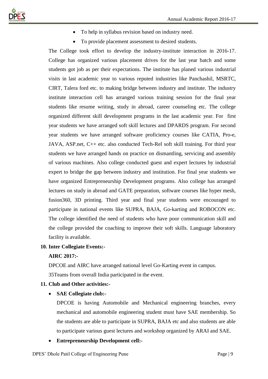

- To help in syllabus revision based on industry need.
- To provide placement assessment to desired students.

The College took effort to develop the industry-institute interaction in 2016-17. College has organized various placement drives for the last year batch and some students got job as per their expectations. The institute has planed various industrial visits in last academic year to various reputed industries like Panchashil, MSRTC, CIRT, Talera ford etc. to making bridge between industry and institute. The industry institute interaction cell has arranged various training session for the final year students like resume writing, study in abroad, career counseling etc. The college organized different skill development programs in the last academic year. For first year students we have arranged soft skill lectures and DPARDS program. For second year students we have arranged software proficiency courses like CATIA, Pro-e, JAVA, ASP.net, C++ etc. also conducted Tech-Rel soft skill training. For third year students we have arranged hands on practice on dismantling, servicing and assembly of various machines. Also college conducted guest and expert lectures by industrial expert to bridge the gap between industry and institution. For final year students we have organized Entrepreneurship Development programs. Also college has arranged lectures on study in abroad and GATE preparation, software courses like hyper mesh, fusion360, 3D printing. Third year and final year students were encouraged to participate in national events like SUPRA, BAJA, Go-karting and ROBOCON etc. The college identified the need of students who have poor communication skill and the college provided the coaching to improve their soft skills. Language laboratory facility is available.

### **10. Inter Collegiate Events:-**

### **AIRC 2017:-**

DPCOE and AIRC have arranged national level Go-Karting event in campus. 35Teams from overall India participated in the event.

### **11. Club and Other activities:-**

### • **SAE Collegiate club:-**

DPCOE is having Automobile and Mechanical engineering branches, every mechanical and automobile engineering student must have SAE membership. So the students are able to participate in SUPRA, BAJA etc and also students are able to participate various guest lectures and workshop organized by ARAI and SAE.

### • **Entrepreneurship Development cell:-**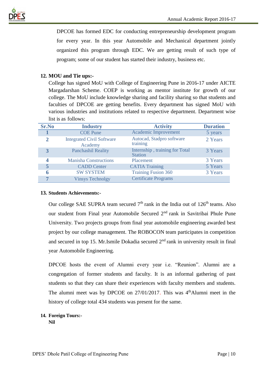



DPCOE has formed EDC for conducting entrepreneurship development program for every year. In this year Automobile and Mechanical department jointly organized this program through EDC. We are getting result of such type of program; some of our student has started their industry, business etc.

### **12. MOU and Tie ups:-**

College has signed MoU with College of Engineering Pune in 2016-17 under AICTE Margadarshan Scheme. COEP is working as mentor institute for growth of our college. The MoU include knowledge sharing and facility sharing so that students and faculties of DPCOE are getting benefits. Every department has signed MoU with various industries and institutions related to respective department. Department wise list is as follows:

| <b>Sr.No</b>   | <b>Industry</b>                             | <b>Activity</b>                                  | <b>Duration</b> |
|----------------|---------------------------------------------|--------------------------------------------------|-----------------|
|                | <b>COE</b> Pune                             | <b>Academic Improvement</b>                      | 5 years         |
| $\overline{2}$ | <b>Integrated Civil Software</b><br>Academy | Autocad, Stadpro software<br>training            | 2 Years         |
| 3              | <b>Panchashil Reality</b>                   | Internship, training for Total<br><b>Station</b> | 3 Years         |
| 4              | <b>Manisha Constructions</b>                | Placement                                        | 3 Years         |
| 5              | <b>CADD</b> Center                          | <b>CATIA Training</b>                            | 5 Years         |
|                | <b>SW SYSTEM</b>                            | <b>Training Fusion 360</b>                       | 3 Years         |
| ь.             | <b>Vinsys Technolgy</b>                     | <b>Certificate Programs</b>                      |                 |

### **13. Students Achievements:-**

Our college SAE SUPRA team secured  $7<sup>th</sup>$  rank in the India out of  $126<sup>th</sup>$  teams. Also our student from Final year Automobile Secured 2nd rank in Savitribai Phule Pune University. Two projects groups from final year automobile engineering awarded best project by our college management. The ROBOCON team participates in competition and secured in top 15. Mr.Ismile Dokadia secured 2nd rank in university result in final year Automobile Engineering.

DPCOE hosts the event of Alumni every year i.e. "Reunion". Alumni are a congregation of former students and faculty. It is an informal gathering of past students so that they can share their experiences with faculty members and students. The alumni meet was by DPCOE on  $27/01/2017$ . This was  $4<sup>th</sup>$ Alumni meet in the history of college total 434 students was present for the same.

### **14. Foreign Tours:-**

**Nil**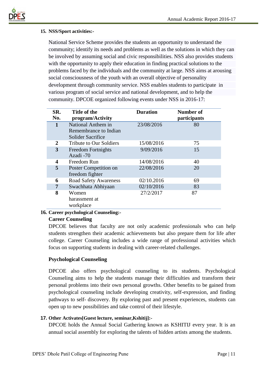

### **15. NSS/Sport activities:-**

National Service Scheme provides the students an opportunity to understand the community; identify its needs and problems as well as the solutions in which they can be involved by assuming social and civic responsibilities. NSS also provides students with the opportunity to apply their education in finding practical solutions to the problems faced by the individuals and the community at large. NSS aims at arousing social consciousness of the youth with an overall objective of personality development through community service. NSS enables students to participate in various program of social service and national development, and to help the community. DPCOE organized following events under NSS in 2016-17:

| SR.<br>No. | Title of the<br>program/Activity                                        | <b>Duration</b> | <b>Number of</b><br>participants |
|------------|-------------------------------------------------------------------------|-----------------|----------------------------------|
| 1          | National Anthem in<br>Remembrance to Indian<br><b>Solider Sacrifice</b> | 23/08/2016      | 80                               |
| 2          | <b>Tribute to Our Soldiers</b>                                          | 15/08/2016      | 75                               |
| 3          | <b>Freedom Fortnights</b><br>Azadi -70                                  | 9/09/2016       | 15                               |
| 4          | Freedom Run                                                             | 14/08/2016      | 40                               |
| 5          | Poster Competition on<br>freedom fighter                                | 22/08/2016      | 20                               |
| 6          | <b>Road Safety Awareness</b>                                            | 02/10.2016      | 69                               |
| 7          | Swachhata Abhiyaan                                                      | 02/10/2016      | 83                               |
| 8          | Women<br>harassment at<br>workplace                                     | 27/2/2017       | 87                               |

### **16. Career psychological Counseling:-**

### **Career Counseling**

DPCOE believes that faculty are not only academic professionals who can help students strengthen their academic achievements but also prepare them for life after college. Career Counseling includes a wide range of professional activities which focus on supporting students in dealing with career-related challenges.

### **Psychological Counseling**

DPCOE also offers psychological counseling to its students. Psychological Counseling aims to help the students manage their difficulties and transform their personal problems into their own personal growths. Other benefits to be gained from psychological counseling include developing creativity, self-expression, and finding pathways to self- discovery. By exploring past and present experiences, students can open up to new possibilities and take control of their lifestyle.

### **17. Other Activates[Guest lecture, seminar,Kshitij]:-**

DPCOE holds the Annual Social Gathering known as KSHITIJ every year. It is an annual social assembly for exploring the talents of hidden artists among the students.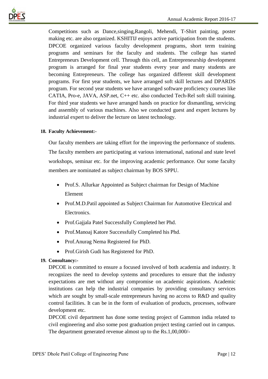

Competitions such as Dance,singing,Rangoli, Mehendi, T-Shirt painting, poster making etc. are also organized. KSHITIJ enjoys active participation from the students. DPCOE organized various faculty development programs, short term training programs and seminars for the faculty and students. The college has started Entrepreneurs Development cell. Through this cell, an Entrepreneurship development program is arranged for final year students every year and many students are becoming Entrepreneurs. The college has organized different skill development programs. For first year students, we have arranged soft skill lectures and DPARDS program. For second year students we have arranged software proficiency courses like CATIA, Pro-e, JAVA, ASP.net, C++ etc. also conducted Tech-Rel soft skill training. For third year students we have arranged hands on practice for dismantling, servicing and assembly of various machines. Also we conducted guest and expert lectures by industrial expert to deliver the lecture on latest technology.

### **18. Faculty Achievement:-**

Our faculty members are taking effort for the improving the performance of students. The faculty members are participating at various international, national and state level workshops, seminar etc. for the improving academic performance. Our some faculty members are nominated as subject chairman by BOS SPPU.

- Prof.S. Allurkar Appointed as Subject chairman for Design of Machine Element
- Prof.M.D.Patil appointed as Subject Chairman for Automotive Electrical and Electronics.
- Prof.Gajjala Patel Successfully Completed her Phd.
- Prof.Manoaj Katore Successfully Completed his Phd.
- Prof.Anurag Nema Registered for PhD.
- Prof.Girish Gudi has Registered for PhD.

### **19. Consultancy:-**

DPCOE is committed to ensure a focused involved of both academia and industry. It recognizes the need to develop systems and procedures to ensure that the industry expectations are met without any compromise on academic aspirations. Academic institutions can help the industrial companies by providing consultancy services which are sought by small-scale entrepreneurs having no access to R&D and quality control facilities. It can be in the form of evaluation of products, processes, software development etc.

DPCOE civil department has done some testing project of Gammon india related to civil engineering and also some post graduation project testing carried out in campus. The department generated revenue almost up to the Rs.1,00,000/-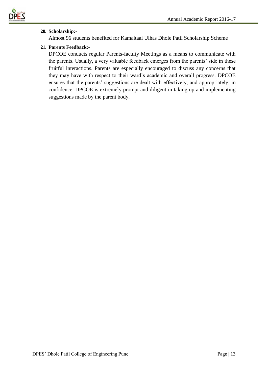

### **20. Scholarship:-**

Almost 96 students benefited for Kamaltaai Ulhas Dhole Patil Scholarship Scheme

### **21. Parents Feedback:-**

DPCOE conducts regular Parents-faculty Meetings as a means to communicate with the parents. Usually, a very valuable feedback emerges from the parents' side in these fruitful interactions. Parents are especially encouraged to discuss any concerns that they may have with respect to their ward's academic and overall progress. DPCOE ensures that the parents' suggestions are dealt with effectively, and appropriately, in confidence. DPCOE is extremely prompt and diligent in taking up and implementing suggestions made by the parent body.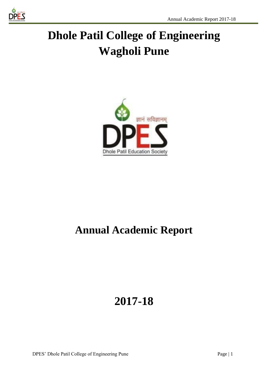

# **Dhole Patil College of Engineering Wagholi Pune**



## **Annual Academic Report**

## **2017-18**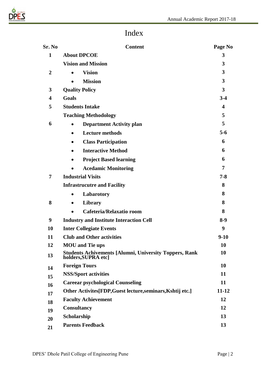

### Index

| Sr. No                  | <b>Content</b>                                                                       | Page No                 |
|-------------------------|--------------------------------------------------------------------------------------|-------------------------|
| 1                       | <b>About DPCOE</b>                                                                   | 3                       |
|                         | <b>Vision and Mission</b>                                                            | 3                       |
| $\overline{2}$          | <b>Vision</b>                                                                        | 3                       |
|                         | <b>Mission</b>                                                                       | 3                       |
| 3                       | <b>Quality Policy</b>                                                                | 3                       |
| $\overline{\mathbf{4}}$ | Goals                                                                                | $3-4$                   |
| 5                       | <b>Students Intake</b>                                                               | $\overline{\mathbf{4}}$ |
|                         | <b>Teaching Methodology</b>                                                          | 5                       |
| 6                       | <b>Department Activity plan</b><br>$\bullet$                                         | 5                       |
|                         | <b>Lecture methods</b><br>$\bullet$                                                  | $5-6$                   |
|                         | <b>Class Participation</b><br>$\bullet$                                              | 6                       |
|                         | <b>Interactive Method</b><br>$\bullet$                                               | 6                       |
|                         | <b>Project Based learning</b><br>$\bullet$                                           | 6                       |
|                         | <b>Acedamic Monitoring</b>                                                           | 7                       |
| 7                       | <b>Industrial Visits</b>                                                             | $7 - 8$                 |
|                         | <b>Infrastrucutre and Facility</b>                                                   | 8                       |
|                         | Labarotory<br>$\bullet$                                                              | 8                       |
| 8                       | Library<br>$\bullet$                                                                 | 8                       |
|                         | Cafeteria/Relaxatio room<br>$\bullet$                                                | 8                       |
| 9                       | <b>Industry and Institute Interaction Cell</b>                                       |                         |
| 10                      | <b>Inter Collegiate Events</b>                                                       |                         |
| 11                      | <b>Club and Other activities</b>                                                     |                         |
| 12                      | <b>MOU</b> and Tie ups                                                               | 10                      |
| 13                      | <b>Students Achivements [Alumni, University Toppers, Rank</b><br>holders, SUPRA etc] |                         |
| 14                      | <b>Foreign Tours</b>                                                                 | 10                      |
| 15                      | <b>NSS/Sport activities</b>                                                          |                         |
| 16                      | <b>Careear psychological Counseling</b>                                              |                         |
| 17                      | Other Activites[FDP, Guest lecture, seminars, Kshtij etc.]                           |                         |
| 18                      | <b>Faculty Achievement</b>                                                           |                         |
| 19                      | <b>Consultancy</b>                                                                   |                         |
| 20                      | Scholarship                                                                          |                         |
| 21                      | <b>Parents Feedback</b>                                                              |                         |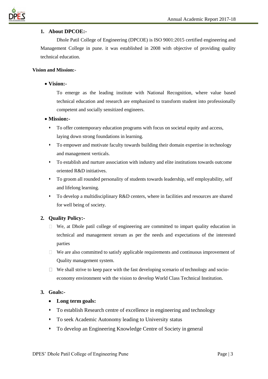

### **1. About DPCOE:-**

Dhole Patil College of Engineering (DPCOE) is ISO 9001:2015 certified engineering and Management College in pune. it was established in 2008 with objective of providing quality technical education.

### **Vision and Mission:-**

### • **Vision:-**

To emerge as the leading institute with National Recognition, where value based technical education and research are emphasized to transform student into professionally competent and socially sensitized engineers.

#### • **Mission:-**

- ⬧ To offer contemporary education programs with focus on societal equity and access, laying down strong foundations in learning.
- ⬧ To empower and motivate faculty towards building their domain expertise in technology and management verticals.
- ⬧ To establish and nurture association with industry and elite institutions towards outcome oriented R&D initiatives.
- ⬧ To groom all rounded personality of students towards leadership, self employability, self and lifelong learning.
- ⬧ To develop a multidisciplinary R&D centers, where in facilities and resources are shared for well being of society.

### **2. Quality Policy:-**

- $\Box$  We, at Dhole patil college of engineering are committed to impart quality education in technical and management stream as per the needs and expectations of the interested parties
- $\Box$  We are also committed to satisfy applicable requirements and continuous improvement of Quality management system.
- $\Box$  We shall strive to keep pace with the fast developing scenario of technology and socioeconomy environment with the vision to develop World Class Technical Institution.

#### **3. Goals:-**

### • **Long term goals:**

- ⬧ To establish Research centre of excellence in engineering and technology
- ⬧ To seek Academic Autonomy leading to University status
- ⬧ To develop an Engineering Knowledge Centre of Society in general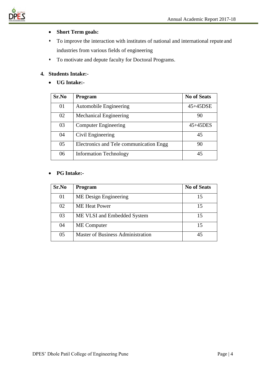

### • **Short Term goals:**

- ⬧ To improve the interaction with institutes of national and international repute and industries from various fields of engineering
- ⬧ To motivate and depute faculty for Doctoral Programs.

### **4. Students Intake:-**

• **UG Intake:-**

| Sr.No | <b>Program</b>                          | <b>No of Seats</b> |
|-------|-----------------------------------------|--------------------|
| 01    | <b>Automobile Engineering</b>           | 45+45DSE           |
| 02    | <b>Mechanical Engineering</b>           | 90                 |
| 03    | <b>Computer Engineering</b>             | $45+45$ DES        |
| 04    | Civil Engineering                       | 45                 |
| 05    | Electronics and Tele communication Engg | 90                 |
| 06    | <b>Information Technology</b>           | 45                 |

### • **PG Intake:-**

| Sr.No | <b>Program</b>                           | <b>No of Seats</b> |
|-------|------------------------------------------|--------------------|
| 01    | ME Design Engineering                    | 15                 |
| 02    | <b>ME</b> Heat Power                     | 15                 |
| 03    | ME VLSI and Embedded System              | 15                 |
| 04    | <b>ME</b> Computer                       | 15                 |
| 05    | <b>Master of Business Administration</b> |                    |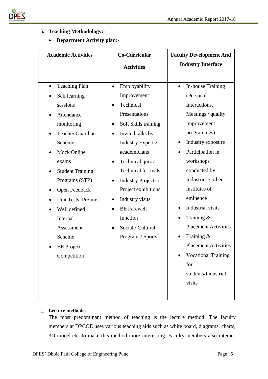

### **5. Teaching Methodology:-**

• **Department Activity plan:-**

| <b>Academic Activities</b>                                                                                                                                                                                                                                                                 | Co-Curricular                                                                                                                                                                                                                                                                                                                                                                                | <b>Faculty Development And</b>                                                                                                                                                                                                                                                                                            |
|--------------------------------------------------------------------------------------------------------------------------------------------------------------------------------------------------------------------------------------------------------------------------------------------|----------------------------------------------------------------------------------------------------------------------------------------------------------------------------------------------------------------------------------------------------------------------------------------------------------------------------------------------------------------------------------------------|---------------------------------------------------------------------------------------------------------------------------------------------------------------------------------------------------------------------------------------------------------------------------------------------------------------------------|
|                                                                                                                                                                                                                                                                                            | <b>Activities</b>                                                                                                                                                                                                                                                                                                                                                                            | <b>Industry Interface</b>                                                                                                                                                                                                                                                                                                 |
|                                                                                                                                                                                                                                                                                            |                                                                                                                                                                                                                                                                                                                                                                                              |                                                                                                                                                                                                                                                                                                                           |
| <b>Teaching Plan</b><br>Self learning<br>sessions<br>Attendance<br>monitoring<br><b>Teacher Guardian</b><br>Scheme<br><b>Mock Online</b><br>exams<br><b>Student Training</b><br>Programs (STP)<br>Open Feedback<br>Unit Tests, Prelims<br>Well defined<br>Internal<br>Assessment<br>Scheme | Employability<br>Improvement<br>Technical<br>Presentations<br>Soft Skills training<br>$\bullet$<br>Invited talks by<br>Industry Experts/<br>academicians<br>Technical quiz /<br>$\bullet$<br><b>Technical festivals</b><br>Industry Projects /<br>$\bullet$<br>Project exhibitions<br>Industry visits<br>$\bullet$<br><b>BE</b> Farewell<br>function<br>Social / Cultural<br>Programs/Sports | In-house Training<br>(Personal<br>Interactions,<br>Meetings / quality<br>improvement<br>programmes)<br>Industry exposure<br>$\bullet$<br>Participation in<br>workshops<br>conducted by<br>Industries / other<br>institutes of<br>eminence<br>Industrial visits<br>Training &<br><b>Placement Activities</b><br>Training & |
| <b>BE</b> Project<br>Competition                                                                                                                                                                                                                                                           |                                                                                                                                                                                                                                                                                                                                                                                              | <b>Placement Activities</b><br><b>Vocational Training</b>                                                                                                                                                                                                                                                                 |
|                                                                                                                                                                                                                                                                                            |                                                                                                                                                                                                                                                                                                                                                                                              | for<br>students/Industrial<br>visits                                                                                                                                                                                                                                                                                      |

### **Lecture methods:-**

The most predominant method of teaching is the lecture method. The faculty members at DPCOE uses various teaching aids such as white board, diagrams, charts, 3D model etc. to make this method more interesting. Faculty members also interact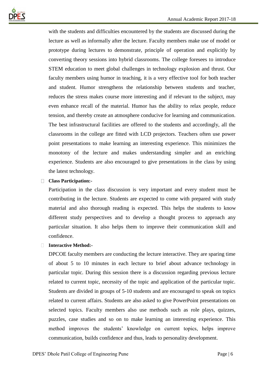

with the students and difficulties encountered by the students are discussed during the lecture as well as informally after the lecture. Faculty members make use of model or prototype during lectures to demonstrate, principle of operation and explicitly by converting theory sessions into hybrid classrooms. The college foresees to introduce STEM education to meet global challenges in technology explosion and thrust. Our faculty members using humor in teaching, it is a very effective tool for both teacher and student. Humor strengthens the relationship between students and teacher, reduces the stress makes course more interesting and if relevant to the subject, may even enhance recall of the material. Humor has the ability to relax people, reduce tension, and thereby create an atmosphere conducive for learning and communication. The best infrastructural facilities are offered to the students and accordingly, all the classrooms in the college are fitted with LCD projectors. Teachers often use power point presentations to make learning an interesting experience. This minimizes the monotony of the lecture and makes understanding simpler and an enriching experience. Students are also encouraged to give presentations in the class by using the latest technology.

### **Class Participation:-**

Participation in the class discussion is very important and every student must be contributing in the lecture. Students are expected to come with prepared with study material and also thorough reading is expected. This helps the students to know different study perspectives and to develop a thought process to approach any particular situation. It also helps them to improve their communication skill and confidence.

### **Interactive Method:-**

DPCOE faculty members are conducting the lecture interactive. They are sparing time of about 5 to 10 minutes in each lecture to brief about advance technology in particular topic. During this session there is a discussion regarding previous lecture related to current topic, necessity of the topic and application of the particular topic. Students are divided in groups of 5-10 students and are encouraged to speak on topics related to current affairs. Students are also asked to give PowerPoint presentations on selected topics. Faculty members also use methods such as role plays, quizzes, puzzles, case studies and so on to make learning an interesting experience. This method improves the students' knowledge on current topics, helps improve communication, builds confidence and thus, leads to personality development.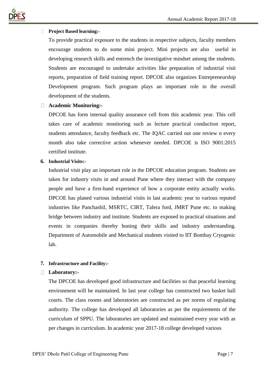

### **Project Based learning:-**

To provide practical exposure to the students in respective subjects, faculty members encourage students to do some mini project. Mini projects are also useful in developing research skills and entrench the investigative mindset among the students. Students are encouraged to undertake activities like preparation of industrial visit reports, preparation of field training report. DPCOE also organizes Entrepreneurship Development program. Such program plays an important role in the overall development of the students.

### **Academic Monitoring:-**

DPCOE has form internal quality assurance cell from this academic year. This cell takes care of academic monitoring such as lecture practical conduction report, students attendance, faculty feedback etc. The IQAC carried out one review n every month also take corrective action whenever needed. DPCOE is ISO 9001:2015 certified institute.

### **6. Industrial Visits:-**

Industrial visit play an important role in the DPCOE education program. Students are taken for industry visits in and around Pune where they interact with the company people and have a first-hand experience of how a corporate entity actually works. DPCOE has planed various industrial visits in last academic year to various reputed industries like Panchashil, MSRTC, CIRT, Talera ford, JMRT Pune etc. to making bridge between industry and institute. Students are exposed to practical situations and events in companies thereby honing their skills and industry understanding. Department of Automobile and Mechanical students visited to IIT Bombay Cryogenic lab.

### **7. Infrastructure and Facility:-**

### **Laboratory:-**

The DPCOE has developed good infrastructure and facilities so that peaceful learning environment will be maintained. In last year college has constructed two basket ball courts. The class rooms and laboratories are constructed as per norms of regulating authority. The college has developed all laboratories as per the requirements of the curriculum of SPPU. The laboratories are updated and maintained every year with as per changes in curriculum. In academic year 2017-18 college developed various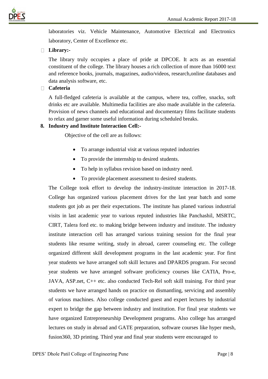

laboratories viz. Vehicle Maintenance, Automotive Electrical and Electronics laboratory, Center of Excellence etc.

### **Library:-**

The library truly occupies a place of pride at DPCOE. It acts as an essential constituent of the college. The library houses a rich collection of more than 16000 text and reference books, journals, magazines, audio/videos, research,online databases and data analysis software, etc.

### **Cafeteria**

A full-fledged cafeteria is available at the campus, where tea, coffee, snacks, soft drinks etc are available. Multimedia facilities are also made available in the cafeteria. Provision of news channels and educational and documentary films facilitate students to relax and garner some useful information during scheduled breaks.

### **8. Industry and Institute Interaction Cell:-**

Objective of the cell are as follows:

- To arrange industrial visit at various reputed industries
- To provide the internship to desired students.
- To help in syllabus revision based on industry need.
- To provide placement assessment to desired students.

The College took effort to develop the industry-institute interaction in 2017-18. College has organized various placement drives for the last year batch and some students got job as per their expectations. The institute has planed various industrial visits in last academic year to various reputed industries like Panchashil, MSRTC, CIRT, Talera ford etc. to making bridge between industry and institute. The industry institute interaction cell has arranged various training session for the final year students like resume writing, study in abroad, career counseling etc. The college organized different skill development programs in the last academic year. For first year students we have arranged soft skill lectures and DPARDS program. For second year students we have arranged software proficiency courses like CATIA, Pro-e, JAVA, ASP.net, C++ etc. also conducted Tech-Rel soft skill training. For third year students we have arranged hands on practice on dismantling, servicing and assembly of various machines. Also college conducted guest and expert lectures by industrial expert to bridge the gap between industry and institution. For final year students we have organized Entrepreneurship Development programs. Also college has arranged lectures on study in abroad and GATE preparation, software courses like hyper mesh, fusion360, 3D printing. Third year and final year students were encouraged to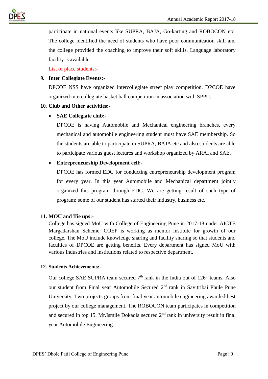



participate in national events like SUPRA, BAJA, Go-karting and ROBOCON etc. The college identified the need of students who have poor communication skill and the college provided the coaching to improve their soft skills. Language laboratory facility is available.

List of place students:-

### **9. Inter Collegiate Events:-**

DPCOE NSS have organized intercollegiate street play competition. DPCOE have organized intercollegiate basket ball competition in association with SPPU.

### **10. Club and Other activities:-**

### • **SAE Collegiate club:-**

DPCOE is having Automobile and Mechanical engineering branches, every mechanical and automobile engineering student must have SAE membership. So the students are able to participate in SUPRA, BAJA etc and also students are able to participate various guest lectures and workshop organized by ARAI and SAE.

### • **Entrepreneurship Development cell:-**

DPCOE has formed EDC for conducting entrepreneurship development program for every year. In this year Automobile and Mechanical department jointly organized this program through EDC. We are getting result of such type of program; some of our student has started their industry, business etc.

### **11. MOU and Tie ups:-**

College has signed MoU with College of Engineering Pune in 2017-18 under AICTE Margadarshan Scheme. COEP is working as mentor institute for growth of our college. The MoU include knowledge sharing and facility sharing so that students and faculties of DPCOE are getting benefits. Every department has signed MoU with various industries and institutions related to respective department.

### **12. Students Achievements:-**

Our college SAE SUPRA team secured  $7<sup>th</sup>$  rank in the India out of  $126<sup>th</sup>$  teams. Also our student from Final year Automobile Secured 2nd rank in Savitribai Phule Pune University. Two projects groups from final year automobile engineering awarded best project by our college management. The ROBOCON team participates in competition and secured in top 15. Mr.Ismile Dokadia secured 2<sup>nd</sup> rank in university result in final year Automobile Engineering.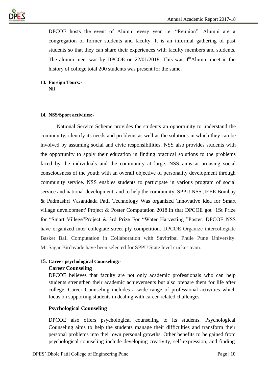

DPCOE hosts the event of Alumni every year i.e. "Reunion". Alumni are a congregation of former students and faculty. It is an informal gathering of past students so that they can share their experiences with faculty members and students. The alumni meet was by DPCOE on  $22/01/2018$ . This was  $4<sup>th</sup>$ Alumni meet in the history of college total 200 students was present for the same.

### **13. Foreign Tours:- Nil**

### **14. NSS/Sport activities:-**

National Service Scheme provides the students an opportunity to understand the community; identify its needs and problems as well as the solutions in which they can be involved by assuming social and civic responsibilities. NSS also provides students with the opportunity to apply their education in finding practical solutions to the problems faced by the individuals and the community at large. NSS aims at arousing social consciousness of the youth with an overall objective of personality development through community service. NSS enables students to participate in various program of social service and national development, and to help the community. SPPU NSS ,IEEE Bombay & Padmashri Vasantdada Patil Technology Was organized 'Innovative idea for Smart village development' Project & Poster Computation 2018.In that DPCOE got 1St Prize for "Smart Villege"Project & 3rd Prize For "Water Harvesting "Poster. DPCOE NSS have organized inter collegiate street ply competition. DPCOE Organize intercollegiate Basket Ball Computation in Collaboration with Savitribai Phule Pune University. Mr.Sagar Birdavade have been selected for SPPU State level cricket team.

### **15. Career psychological Counseling:-**

### **Career Counseling**

DPCOE believes that faculty are not only academic professionals who can help students strengthen their academic achievements but also prepare them for life after college. Career Counseling includes a wide range of professional activities which focus on supporting students in dealing with career-related challenges.

### **Psychological Counseling**

DPCOE also offers psychological counseling to its students. Psychological Counseling aims to help the students manage their difficulties and transform their personal problems into their own personal growths. Other benefits to be gained from psychological counseling include developing creativity, self-expression, and finding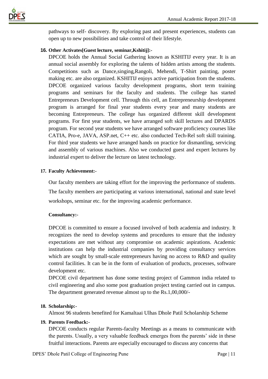

pathways to self- discovery. By exploring past and present experiences, students can open up to new possibilities and take control of their lifestyle.

### **16. Other Activates[Guest lecture, seminar,Kshitij]:-**

DPCOE holds the Annual Social Gathering known as KSHITIJ every year. It is an annual social assembly for exploring the talents of hidden artists among the students. Competitions such as Dance,singing,Rangoli, Mehendi, T-Shirt painting, poster making etc. are also organized. KSHITIJ enjoys active participation from the students. DPCOE organized various faculty development programs, short term training programs and seminars for the faculty and students. The college has started Entrepreneurs Development cell. Through this cell, an Entrepreneurship development program is arranged for final year students every year and many students are becoming Entrepreneurs. The college has organized different skill development programs. For first year students, we have arranged soft skill lectures and DPARDS program. For second year students we have arranged software proficiency courses like CATIA, Pro-e, JAVA, ASP.net, C++ etc. also conducted Tech-Rel soft skill training. For third year students we have arranged hands on practice for dismantling, servicing and assembly of various machines. Also we conducted guest and expert lectures by industrial expert to deliver the lecture on latest technology.

### **17. Faculty Achievement:-**

Our faculty members are taking effort for the improving the performance of students. The faculty members are participating at various international, national and state level workshops, seminar etc. for the improving academic performance.

### **Consultancy:-**

DPCOE is committed to ensure a focused involved of both academia and industry. It recognizes the need to develop systems and procedures to ensure that the industry expectations are met without any compromise on academic aspirations. Academic institutions can help the industrial companies by providing consultancy services which are sought by small-scale entrepreneurs having no access to R&D and quality control facilities. It can be in the form of evaluation of products, processes, software development etc.

DPCOE civil department has done some testing project of Gammon india related to civil engineering and also some post graduation project testing carried out in campus. The department generated revenue almost up to the Rs.1,00,000/-

### **18. Scholarship:-**

Almost 96 students benefited for Kamaltaai Ulhas Dhole Patil Scholarship Scheme

### **19. Parents Feedback:-**

DPCOE conducts regular Parents-faculty Meetings as a means to communicate with the parents. Usually, a very valuable feedback emerges from the parents' side in these fruitful interactions. Parents are especially encouraged to discuss any concerns that